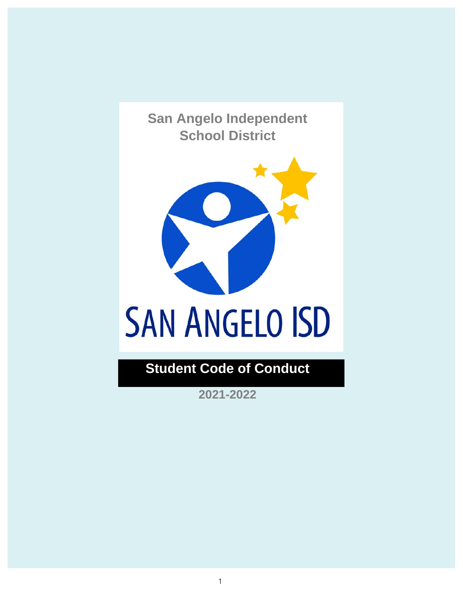**San Angelo Independent School District**



# **Student Code of Conduct**

**2021-2022**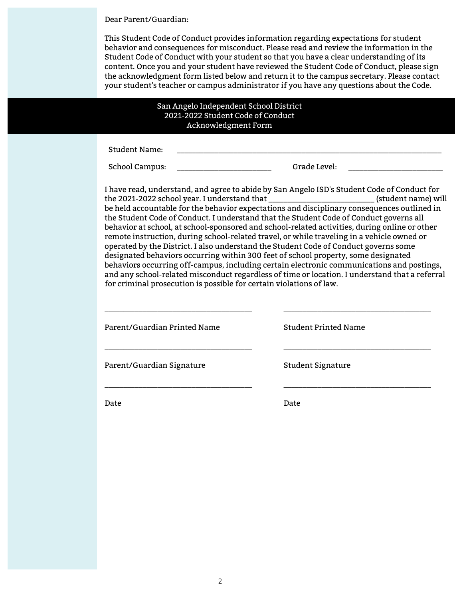Dear Parent/Guardian:

This Student Code of Conduct provides information regarding expectations for student behavior and consequences for misconduct. Please read and review the information in the Student Code of Conduct with your student so that you have a clear understanding of its content. Once you and your student have reviewed the Student Code of Conduct, please sign the acknowledgment form listed below and return it to the campus secretary. Please contact your student's teacher or campus administrator if you have any questions about the Code.

#### San Angelo Independent School District 2021-2022 Student Code of Conduct Acknowledgment Form

Student Name:

School Campus: \_\_\_\_\_\_\_\_\_\_\_\_\_\_\_\_\_\_\_\_\_\_\_\_\_\_\_\_\_\_\_\_\_\_\_Grade Level:

I have read, understand, and agree to abide by San Angelo ISD's Student Code of Conduct for the 2021-2022 school year. I understand that \_\_\_\_\_\_\_\_\_\_\_\_\_\_\_\_\_\_\_\_\_\_\_\_\_\_\_\_ (student name) will be held accountable for the behavior expectations and disciplinary consequences outlined in the Student Code of Conduct. I understand that the Student Code of Conduct governs all behavior at school, at school-sponsored and school-related activities, during online or other remote instruction, during school-related travel, or while traveling in a vehicle owned or operated by the District. I also understand the Student Code of Conduct governs some designated behaviors occurring within 300 feet of school property, some designated behaviors occurring off-campus, including certain electronic communications and postings, and any school-related misconduct regardless of time or location. I understand that a referral for criminal prosecution is possible for certain violations of law.

Parent/Guardian Printed Name

\_\_\_\_\_\_\_\_\_\_\_\_\_\_\_\_\_\_\_\_\_\_\_\_\_\_\_\_\_\_\_\_\_\_\_\_\_\_\_

\_\_\_\_\_\_\_\_\_\_\_\_\_\_\_\_\_\_\_\_\_\_\_\_\_\_\_\_\_\_\_\_\_\_\_\_\_\_\_

\_\_\_\_\_\_\_\_\_\_\_\_\_\_\_\_\_\_\_\_\_\_\_\_\_\_\_\_\_\_\_\_\_\_\_\_\_\_\_

Student Printed Name

\_\_\_\_\_\_\_\_\_\_\_\_\_\_\_\_\_\_\_\_\_\_\_\_\_\_\_\_\_\_\_\_\_\_\_\_\_\_\_

\_\_\_\_\_\_\_\_\_\_\_\_\_\_\_\_\_\_\_\_\_\_\_\_\_\_\_\_\_\_\_\_\_\_\_\_\_\_\_

\_\_\_\_\_\_\_\_\_\_\_\_\_\_\_\_\_\_\_\_\_\_\_\_\_\_\_\_\_\_\_\_\_\_\_\_\_\_\_

Parent/Guardian Signature

Student Signature

Date

Date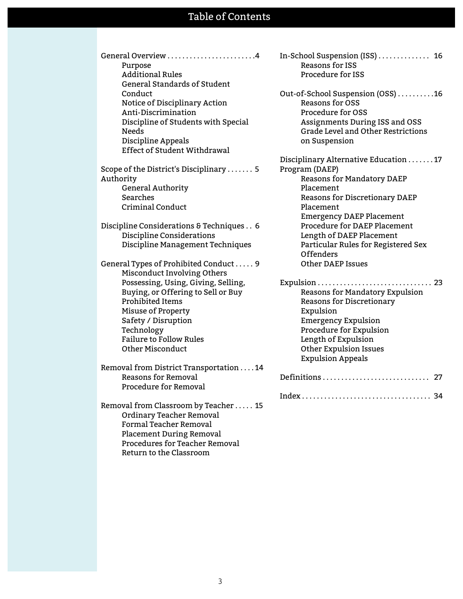### Table of Contents

| Purpose                             |
|-------------------------------------|
| <b>Additional Rules</b>             |
| <b>General Standards of Student</b> |
| Conduct                             |
| Notice of Disciplinary Action       |
| Anti-Discrimination                 |
| Discipline of Students with Special |
| Needs                               |
| Discipline Appeals                  |
| Effect of Student Withdrawal        |
|                                     |

Scope of the District's Disciplinary . . . . . . . 5 Authority General Authority Searches Criminal Conduct

Discipline Considerations & Techniques . . 6 Discipline Considerations Discipline Management Techniques

General Types of Prohibited Conduct . . . . . 9 Misconduct Involving Others Possessing, Using, Giving, Selling, Buying, or Offering to Sell or Buy Prohibited Items Misuse of Property Safety / Disruption Technology Failure to Follow Rules Other Misconduct

Removal from District Transportation . . . . 14 Reasons for Removal Procedure for Removal

Removal from Classroom by Teacher . . . . . 15 Ordinary Teacher Removal Formal Teacher Removal Placement During Removal Procedures for Teacher Removal Return to the Classroom

In-School Suspension (ISS) . . . . . . . . . . . . . . 16 Reasons for ISS Procedure for ISS

Out-of-School Suspension (OSS) . . . . . . . . . .16 Reasons for OSS Procedure for OSS Assignments During ISS and OSS Grade Level and Other Restrictions on Suspension

Disciplinary Alternative Education . . . . . . . 17 Program (DAEP) Reasons for Mandatory DAEP Placement Reasons for Discretionary DAEP Placement Emergency DAEP Placement Procedure for DAEP Placement Length of DAEP Placement Particular Rules for Registered Sex Offenders Other DAEP Issues

Expulsion . . . . . . . . . . . . . . . . . . . . . . . . . . . . . . . 23 Reasons for Mandatory Expulsion Reasons for Discretionary Expulsion Emergency Expulsion Procedure for Expulsion Length of Expulsion Other Expulsion Issues Expulsion Appeals Definitions . . . . . . . . . . . . . . . . . . . . . . . . . . . . . 27

Index . . . . . . . . . . . . . . . . . . . . . . . . . . . . . . . . . . . 34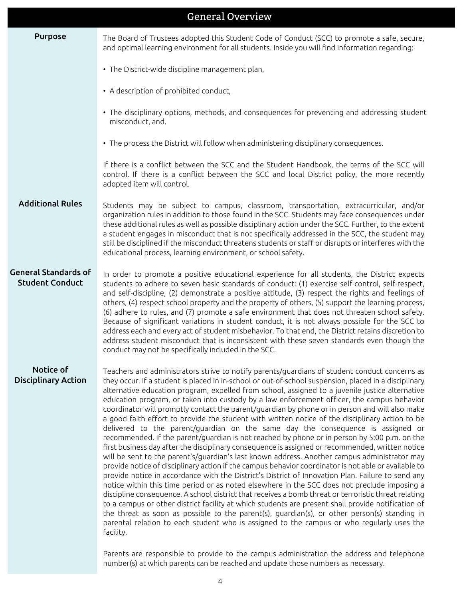|                                                       | <b>General Overview</b>                                                                                                                                                                                                                                                                                                                                                                                                                                                                                                                                                                                                                                                                                                                                                                                                                                                                                                                                                                                                                                                                                                                                                                                                                                                                                                                                                                                                                                                                                                                                                                                                                                                                                                                                                                                                               |
|-------------------------------------------------------|---------------------------------------------------------------------------------------------------------------------------------------------------------------------------------------------------------------------------------------------------------------------------------------------------------------------------------------------------------------------------------------------------------------------------------------------------------------------------------------------------------------------------------------------------------------------------------------------------------------------------------------------------------------------------------------------------------------------------------------------------------------------------------------------------------------------------------------------------------------------------------------------------------------------------------------------------------------------------------------------------------------------------------------------------------------------------------------------------------------------------------------------------------------------------------------------------------------------------------------------------------------------------------------------------------------------------------------------------------------------------------------------------------------------------------------------------------------------------------------------------------------------------------------------------------------------------------------------------------------------------------------------------------------------------------------------------------------------------------------------------------------------------------------------------------------------------------------|
| <b>Purpose</b>                                        | The Board of Trustees adopted this Student Code of Conduct (SCC) to promote a safe, secure,<br>and optimal learning environment for all students. Inside you will find information regarding:                                                                                                                                                                                                                                                                                                                                                                                                                                                                                                                                                                                                                                                                                                                                                                                                                                                                                                                                                                                                                                                                                                                                                                                                                                                                                                                                                                                                                                                                                                                                                                                                                                         |
|                                                       | • The District-wide discipline management plan,                                                                                                                                                                                                                                                                                                                                                                                                                                                                                                                                                                                                                                                                                                                                                                                                                                                                                                                                                                                                                                                                                                                                                                                                                                                                                                                                                                                                                                                                                                                                                                                                                                                                                                                                                                                       |
|                                                       | • A description of prohibited conduct,                                                                                                                                                                                                                                                                                                                                                                                                                                                                                                                                                                                                                                                                                                                                                                                                                                                                                                                                                                                                                                                                                                                                                                                                                                                                                                                                                                                                                                                                                                                                                                                                                                                                                                                                                                                                |
|                                                       | • The disciplinary options, methods, and consequences for preventing and addressing student<br>misconduct, and.                                                                                                                                                                                                                                                                                                                                                                                                                                                                                                                                                                                                                                                                                                                                                                                                                                                                                                                                                                                                                                                                                                                                                                                                                                                                                                                                                                                                                                                                                                                                                                                                                                                                                                                       |
|                                                       | • The process the District will follow when administering disciplinary consequences.                                                                                                                                                                                                                                                                                                                                                                                                                                                                                                                                                                                                                                                                                                                                                                                                                                                                                                                                                                                                                                                                                                                                                                                                                                                                                                                                                                                                                                                                                                                                                                                                                                                                                                                                                  |
|                                                       | If there is a conflict between the SCC and the Student Handbook, the terms of the SCC will<br>control. If there is a conflict between the SCC and local District policy, the more recently<br>adopted item will control.                                                                                                                                                                                                                                                                                                                                                                                                                                                                                                                                                                                                                                                                                                                                                                                                                                                                                                                                                                                                                                                                                                                                                                                                                                                                                                                                                                                                                                                                                                                                                                                                              |
| <b>Additional Rules</b>                               | Students may be subject to campus, classroom, transportation, extracurricular, and/or<br>organization rules in addition to those found in the SCC. Students may face consequences under<br>these additional rules as well as possible disciplinary action under the SCC. Further, to the extent<br>a student engages in misconduct that is not specifically addressed in the SCC, the student may<br>still be disciplined if the misconduct threatens students or staff or disrupts or interferes with the<br>educational process, learning environment, or school safety.                                                                                                                                                                                                                                                                                                                                                                                                                                                                                                                                                                                                                                                                                                                                                                                                                                                                                                                                                                                                                                                                                                                                                                                                                                                            |
| <b>General Standards of</b><br><b>Student Conduct</b> | In order to promote a positive educational experience for all students, the District expects<br>students to adhere to seven basic standards of conduct: (1) exercise self-control, self-respect,<br>and self-discipline, (2) demonstrate a positive attitude, (3) respect the rights and feelings of<br>others, (4) respect school property and the property of others, (5) support the learning process,<br>(6) adhere to rules, and (7) promote a safe environment that does not threaten school safety.<br>Because of significant variations in student conduct, it is not always possible for the SCC to<br>address each and every act of student misbehavior. To that end, the District retains discretion to<br>address student misconduct that is inconsistent with these seven standards even though the<br>conduct may not be specifically included in the SCC.                                                                                                                                                                                                                                                                                                                                                                                                                                                                                                                                                                                                                                                                                                                                                                                                                                                                                                                                                              |
| Notice of<br><b>Disciplinary Action</b>               | Teachers and administrators strive to notify parents/guardians of student conduct concerns as<br>they occur. If a student is placed in in-school or out-of-school suspension, placed in a disciplinary<br>alternative education program, expelled from school, assigned to a juvenile justice alternative<br>education program, or taken into custody by a law enforcement officer, the campus behavior<br>coordinator will promptly contact the parent/guardian by phone or in person and will also make<br>a good faith effort to provide the student with written notice of the disciplinary action to be<br>delivered to the parent/guardian on the same day the consequence is assigned or<br>recommended. If the parent/quardian is not reached by phone or in person by 5:00 p.m. on the<br>first business day after the disciplinary consequence is assigned or recommended, written notice<br>will be sent to the parent's/guardian's last known address. Another campus administrator may<br>provide notice of disciplinary action if the campus behavior coordinator is not able or available to<br>provide notice in accordance with the District's District of Innovation Plan. Failure to send any<br>notice within this time period or as noted elsewhere in the SCC does not preclude imposing a<br>discipline consequence. A school district that receives a bomb threat or terroristic threat relating<br>to a campus or other district facility at which students are present shall provide notification of<br>the threat as soon as possible to the parent(s), guardian(s), or other person(s) standing in<br>parental relation to each student who is assigned to the campus or who regularly uses the<br>facility.<br>Parents are responsible to provide to the campus administration the address and telephone |
|                                                       | number(s) at which parents can be reached and update those numbers as necessary.                                                                                                                                                                                                                                                                                                                                                                                                                                                                                                                                                                                                                                                                                                                                                                                                                                                                                                                                                                                                                                                                                                                                                                                                                                                                                                                                                                                                                                                                                                                                                                                                                                                                                                                                                      |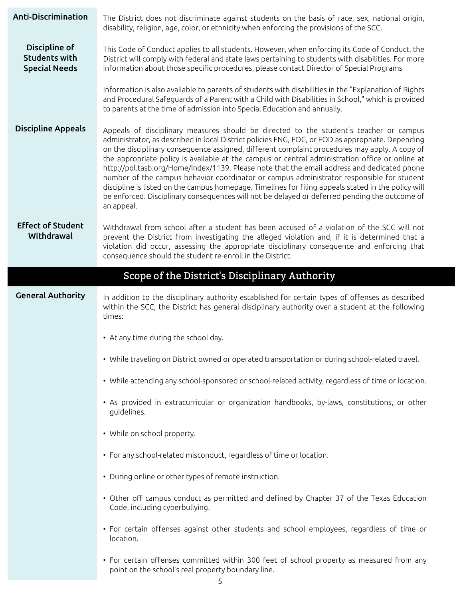| Anti-Discrimination                                           | The District does not discriminate against students on the basis of race, sex, national origin,<br>disability, religion, age, color, or ethnicity when enforcing the provisions of the SCC.                                                                                                                                                                                                                                                                                                                                                                                                                                                                                                                                                                                                                       |  |  |
|---------------------------------------------------------------|-------------------------------------------------------------------------------------------------------------------------------------------------------------------------------------------------------------------------------------------------------------------------------------------------------------------------------------------------------------------------------------------------------------------------------------------------------------------------------------------------------------------------------------------------------------------------------------------------------------------------------------------------------------------------------------------------------------------------------------------------------------------------------------------------------------------|--|--|
| Discipline of<br><b>Students with</b><br><b>Special Needs</b> | This Code of Conduct applies to all students. However, when enforcing its Code of Conduct, the<br>District will comply with federal and state laws pertaining to students with disabilities. For more<br>information about those specific procedures, please contact Director of Special Programs                                                                                                                                                                                                                                                                                                                                                                                                                                                                                                                 |  |  |
|                                                               | Information is also available to parents of students with disabilities in the "Explanation of Rights<br>and Procedural Safeguards of a Parent with a Child with Disabilities in School," which is provided<br>to parents at the time of admission into Special Education and annually.                                                                                                                                                                                                                                                                                                                                                                                                                                                                                                                            |  |  |
| <b>Discipline Appeals</b>                                     | Appeals of disciplinary measures should be directed to the student's teacher or campus<br>administrator, as described in local District policies FNG, FOC, or FOD as appropriate. Depending<br>on the disciplinary consequence assigned, different complaint procedures may apply. A copy of<br>the appropriate policy is available at the campus or central administration office or online at<br>http://pol.tasb.org/Home/Index/1139. Please note that the email address and dedicated phone<br>number of the campus behavior coordinator or campus administrator responsible for student<br>discipline is listed on the campus homepage. Timelines for filing appeals stated in the policy will<br>be enforced. Disciplinary consequences will not be delayed or deferred pending the outcome of<br>an appeal. |  |  |
| <b>Effect of Student</b><br>Withdrawal                        | Withdrawal from school after a student has been accused of a violation of the SCC will not<br>prevent the District from investigating the alleged violation and, if it is determined that a<br>violation did occur, assessing the appropriate disciplinary consequence and enforcing that<br>consequence should the student re-enroll in the District.                                                                                                                                                                                                                                                                                                                                                                                                                                                            |  |  |
|                                                               | Scope of the District's Disciplinary Authority                                                                                                                                                                                                                                                                                                                                                                                                                                                                                                                                                                                                                                                                                                                                                                    |  |  |
| <b>General Authority</b>                                      | In addition to the disciplinary authority established for certain types of offenses as described<br>within the SCC, the District has general disciplinary authority over a student at the following<br>times:                                                                                                                                                                                                                                                                                                                                                                                                                                                                                                                                                                                                     |  |  |
|                                                               | • At any time during the school day.                                                                                                                                                                                                                                                                                                                                                                                                                                                                                                                                                                                                                                                                                                                                                                              |  |  |
|                                                               | • While traveling on District owned or operated transportation or during school-related travel.                                                                                                                                                                                                                                                                                                                                                                                                                                                                                                                                                                                                                                                                                                                   |  |  |
|                                                               | • While attending any school-sponsored or school-related activity, regardless of time or location.                                                                                                                                                                                                                                                                                                                                                                                                                                                                                                                                                                                                                                                                                                                |  |  |
|                                                               | • As provided in extracurricular or organization handbooks, by-laws, constitutions, or other<br>guidelines.                                                                                                                                                                                                                                                                                                                                                                                                                                                                                                                                                                                                                                                                                                       |  |  |
|                                                               | • While on school property.                                                                                                                                                                                                                                                                                                                                                                                                                                                                                                                                                                                                                                                                                                                                                                                       |  |  |
|                                                               | • For any school-related misconduct, regardless of time or location.                                                                                                                                                                                                                                                                                                                                                                                                                                                                                                                                                                                                                                                                                                                                              |  |  |
|                                                               | • During online or other types of remote instruction.                                                                                                                                                                                                                                                                                                                                                                                                                                                                                                                                                                                                                                                                                                                                                             |  |  |
|                                                               | • Other off campus conduct as permitted and defined by Chapter 37 of the Texas Education<br>Code, including cyberbullying.                                                                                                                                                                                                                                                                                                                                                                                                                                                                                                                                                                                                                                                                                        |  |  |
|                                                               | • For certain offenses against other students and school employees, regardless of time or<br>location.                                                                                                                                                                                                                                                                                                                                                                                                                                                                                                                                                                                                                                                                                                            |  |  |
|                                                               | • For certain offenses committed within 300 feet of school property as measured from any<br>point on the school's real property boundary line.                                                                                                                                                                                                                                                                                                                                                                                                                                                                                                                                                                                                                                                                    |  |  |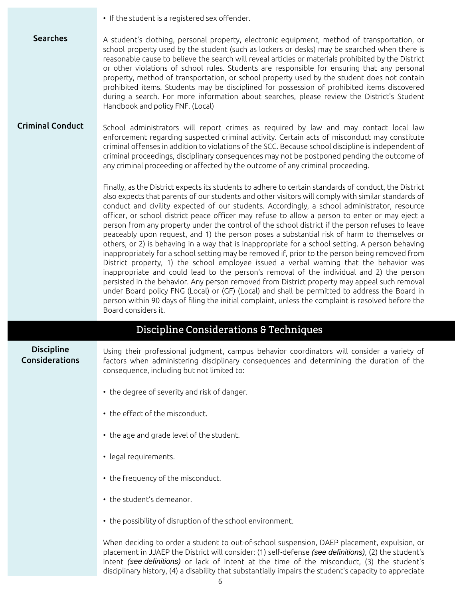|                                     | • If the student is a registered sex offender.                                                                                                                                                                                                                                                                                                                                                                                                                                                                                                                                                                                                                                                                                                                                                                                                                                                                                                                                                                                                                                                                                                                                                                                                                                                                                              |  |  |
|-------------------------------------|---------------------------------------------------------------------------------------------------------------------------------------------------------------------------------------------------------------------------------------------------------------------------------------------------------------------------------------------------------------------------------------------------------------------------------------------------------------------------------------------------------------------------------------------------------------------------------------------------------------------------------------------------------------------------------------------------------------------------------------------------------------------------------------------------------------------------------------------------------------------------------------------------------------------------------------------------------------------------------------------------------------------------------------------------------------------------------------------------------------------------------------------------------------------------------------------------------------------------------------------------------------------------------------------------------------------------------------------|--|--|
| <b>Searches</b>                     | A student's clothing, personal property, electronic equipment, method of transportation, or<br>school property used by the student (such as lockers or desks) may be searched when there is<br>reasonable cause to believe the search will reveal articles or materials prohibited by the District<br>or other violations of school rules. Students are responsible for ensuring that any personal<br>property, method of transportation, or school property used by the student does not contain<br>prohibited items. Students may be disciplined for possession of prohibited items discovered<br>during a search. For more information about searches, please review the District's Student<br>Handbook and policy FNF. (Local)                                                                                                                                                                                                                                                                                                                                                                                                                                                                                                                                                                                                          |  |  |
| <b>Criminal Conduct</b>             | School administrators will report crimes as required by law and may contact local law<br>enforcement regarding suspected criminal activity. Certain acts of misconduct may constitute<br>criminal offenses in addition to violations of the SCC. Because school discipline is independent of<br>criminal proceedings, disciplinary consequences may not be postponed pending the outcome of<br>any criminal proceeding or affected by the outcome of any criminal proceeding.                                                                                                                                                                                                                                                                                                                                                                                                                                                                                                                                                                                                                                                                                                                                                                                                                                                               |  |  |
|                                     | Finally, as the District expects its students to adhere to certain standards of conduct, the District<br>also expects that parents of our students and other visitors will comply with similar standards of<br>conduct and civility expected of our students. Accordingly, a school administrator, resource<br>officer, or school district peace officer may refuse to allow a person to enter or may eject a<br>person from any property under the control of the school district if the person refuses to leave<br>peaceably upon request, and 1) the person poses a substantial risk of harm to themselves or<br>others, or 2) is behaving in a way that is inappropriate for a school setting. A person behaving<br>inappropriately for a school setting may be removed if, prior to the person being removed from<br>District property, 1) the school employee issued a verbal warning that the behavior was<br>inappropriate and could lead to the person's removal of the individual and 2) the person<br>persisted in the behavior. Any person removed from District property may appeal such removal<br>under Board policy FNG (Local) or (GF) (Local) and shall be permitted to address the Board in<br>person within 90 days of filing the initial complaint, unless the complaint is resolved before the<br>Board considers it. |  |  |
|                                     | Discipline Considerations & Techniques                                                                                                                                                                                                                                                                                                                                                                                                                                                                                                                                                                                                                                                                                                                                                                                                                                                                                                                                                                                                                                                                                                                                                                                                                                                                                                      |  |  |
| <b>Discipline</b><br>Considerations | Using their professional judgment, campus behavior coordinators will consider a variety of<br>factors when administering disciplinary consequences and determining the duration of the<br>consequence, including but not limited to:                                                                                                                                                                                                                                                                                                                                                                                                                                                                                                                                                                                                                                                                                                                                                                                                                                                                                                                                                                                                                                                                                                        |  |  |

- the degree of severity and risk of danger.
- the effect of the misconduct.
- the age and grade level of the student.
- legal requirements.
- the frequency of the misconduct.
- the student's demeanor.
- the possibility of disruption of the school environment.

When deciding to order a student to out-of-school suspension, DAEP placement, expulsion, or placement in JJAEP the District will consider: (1) self-defense (see definitions), (2) the student's intent (see definitions) or lack of intent at the time of the misconduct, (3) the student's disciplinary history, (4) a disability that substantially impairs the student's capacity to appreciate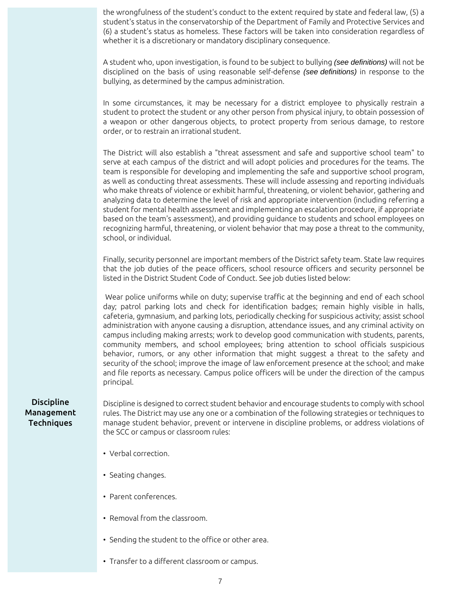the wrongfulness of the student's conduct to the extent required by state and federal law, (5) a student's status in the conservatorship of the Department of Family and Protective Services and (6) a student's status as homeless. These factors will be taken into consideration regardless of whether it is a discretionary or mandatory disciplinary consequence.

A student who, upon investigation, is found to be subject to bullying (see definitions) will not be disciplined on the basis of using reasonable self-defense (see definitions) in response to the bullying, as determined by the campus administration.

In some circumstances, it may be necessary for a district employee to physically restrain a student to protect the student or any other person from physical injury, to obtain possession of a weapon or other dangerous objects, to protect property from serious damage, to restore order, or to restrain an irrational student.

The District will also establish a "threat assessment and safe and supportive school team" to serve at each campus of the district and will adopt policies and procedures for the teams. The team is responsible for developing and implementing the safe and supportive school program, as well as conducting threat assessments. These will include assessing and reporting individuals who make threats of violence or exhibit harmful, threatening, or violent behavior, gathering and analyzing data to determine the level of risk and appropriate intervention (including referring a student for mental health assessment and implementing an escalation procedure, if appropriate based on the team's assessment), and providing guidance to students and school employees on recognizing harmful, threatening, or violent behavior that may pose a threat to the community, school, or individual.

Finally, security personnel are important members of the District safety team. State law requires that the job duties of the peace officers, school resource officers and security personnel be listed in the District Student Code of Conduct. See job duties listed below:

Wear police uniforms while on duty; supervise traffic at the beginning and end of each school day; patrol parking lots and check for identification badges; remain highly visible in halls, cafeteria, gymnasium, and parking lots, periodically checking for suspicious activity; assist school administration with anyone causing a disruption, attendance issues, and any criminal activity on campus including making arrests; work to develop good communication with students, parents, community members, and school employees; bring attention to school officials suspicious behavior, rumors, or any other information that might suggest a threat to the safety and security of the school; improve the image of law enforcement presence at the school; and make and file reports as necessary. Campus police officers will be under the direction of the campus principal.

#### **Discipline** Management Techniques

Discipline is designed to correct student behavior and encourage students to comply with school rules. The District may use any one or a combination of the following strategies or techniques to manage student behavior, prevent or intervene in discipline problems, or address violations of the SCC or campus or classroom rules:

- Verbal correction.
- Seating changes.
- Parent conferences.
- Removal from the classroom.
- Sending the student to the office or other area.
- Transfer to a different classroom or campus.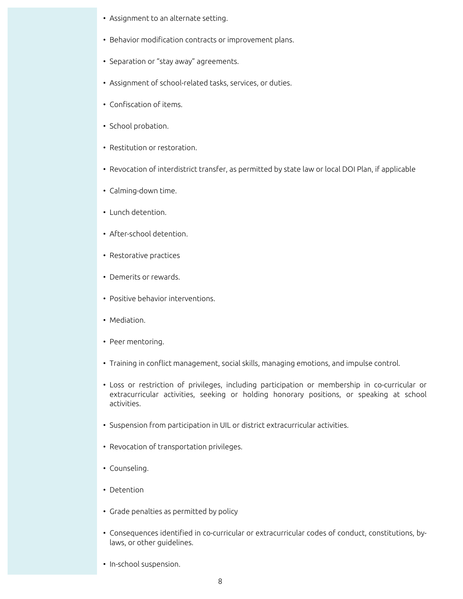- Assignment to an alternate setting.
- Behavior modification contracts or improvement plans.
- Separation or "stay away" agreements.
- Assignment of school-related tasks, services, or duties.
- Confiscation of items.
- School probation.
- Restitution or restoration.
- Revocation of interdistrict transfer, as permitted by state law or local DOI Plan, if applicable
- Calming-down time.
- Lunch detention.
- After-school detention.
- Restorative practices
- Demerits or rewards.
- Positive behavior interventions.
- Mediation.
- Peer mentoring.
- Training in conflict management, social skills, managing emotions, and impulse control.
- Loss or restriction of privileges, including participation or membership in co-curricular or extracurricular activities, seeking or holding honorary positions, or speaking at school activities.
- Suspension from participation in UIL or district extracurricular activities.
- Revocation of transportation privileges.
- Counseling.
- Detention
- Grade penalties as permitted by policy
- Consequences identified in co-curricular or extracurricular codes of conduct, constitutions, bylaws, or other guidelines.
- In-school suspension.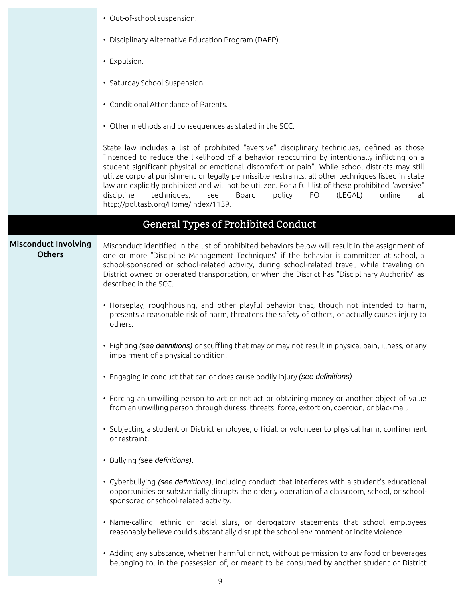- Out-of-school suspension.
- Disciplinary Alternative Education Program (DAEP).
- Expulsion.
- Saturday School Suspension.
- Conditional Attendance of Parents.
- Other methods and consequences as stated in the SCC.

State law includes a list of prohibited "aversive" disciplinary techniques, defined as those "intended to reduce the likelihood of a behavior reoccurring by intentionally inflicting on a student significant physical or emotional discomfort or pain". While school districts may still utilize corporal punishment or legally permissible restraints, all other techniques listed in state law are explicitly prohibited and will not be utilized. For a full list of these prohibited "aversive" discipline techniques, see Board policy FO (LEGAL) online at http://pol.tasb.org/Home/Index/1139.

## General Types of Prohibited Conduct

#### Misconduct Involving **Others**

Misconduct identified in the list of prohibited behaviors below will result in the assignment of one or more "Discipline Management Techniques" if the behavior is committed at school, a school-sponsored or school-related activity, during school-related travel, while traveling on District owned or operated transportation, or when the District has "Disciplinary Authority" as described in the SCC.

- Horseplay, roughhousing, and other playful behavior that, though not intended to harm, presents a reasonable risk of harm, threatens the safety of others, or actually causes injury to others.
- Fighting (see definitions) or scuffling that may or may not result in physical pain, illness, or any impairment of a physical condition.
- Engaging in conduct that can or does cause bodily injury (see definitions).
- Forcing an unwilling person to act or not act or obtaining money or another object of value from an unwilling person through duress, threats, force, extortion, coercion, or blackmail.
- Subjecting a student or District employee, official, or volunteer to physical harm, confinement or restraint.
- Bullying (see definitions).
- Cyberbullying (see definitions), including conduct that interferes with a student's educational opportunities or substantially disrupts the orderly operation of a classroom, school, or schoolsponsored or school-related activity.
- Name-calling, ethnic or racial slurs, or derogatory statements that school employees reasonably believe could substantially disrupt the school environment or incite violence.
- Adding any substance, whether harmful or not, without permission to any food or beverages belonging to, in the possession of, or meant to be consumed by another student or District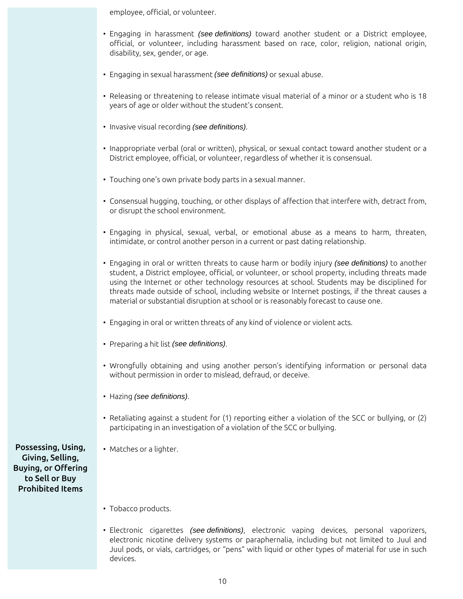employee, official, or volunteer.

- Engaging in harassment (see definitions) toward another student or a District employee, official, or volunteer, including harassment based on race, color, religion, national origin, disability, sex, gender, or age.
- Engaging in sexual harassment (see definitions) or sexual abuse.
- Releasing or threatening to release intimate visual material of a minor or a student who is 18 years of age or older without the student's consent.
- Invasive visual recording (see definitions).
- Inappropriate verbal (oral or written), physical, or sexual contact toward another student or a District employee, official, or volunteer, regardless of whether it is consensual.
- Touching one's own private body parts in a sexual manner.
- Consensual hugging, touching, or other displays of affection that interfere with, detract from, or disrupt the school environment.
- Engaging in physical, sexual, verbal, or emotional abuse as a means to harm, threaten, intimidate, or control another person in a current or past dating relationship.
- Engaging in oral or written threats to cause harm or bodily injury (see definitions) to another student, a District employee, official, or volunteer, or school property, including threats made using the Internet or other technology resources at school. Students may be disciplined for threats made outside of school, including website or Internet postings, if the threat causes a material or substantial disruption at school or is reasonably forecast to cause one.
- Engaging in oral or written threats of any kind of violence or violent acts.
- Preparing a hit list (see definitions).
- Wrongfully obtaining and using another person's identifying information or personal data without permission in order to mislead, defraud, or deceive.
- Hazing (see definitions).
- Retaliating against a student for (1) reporting either a violation of the SCC or bullying, or (2) participating in an investigation of a violation of the SCC or bullying.
- Matches or a lighter.

Possessing, Using, Giving, Selling, Buying, or Offering to Sell or Buy Prohibited Items

- Tobacco products.
- Electronic cigarettes (see definitions), electronic vaping devices, personal vaporizers, electronic nicotine delivery systems or paraphernalia, including but not limited to Juul and Juul pods, or vials, cartridges, or "pens" with liquid or other types of material for use in such devices.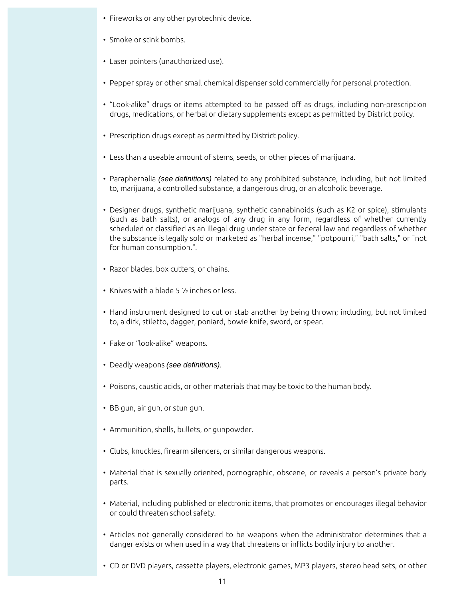- Fireworks or any other pyrotechnic device.
- Smoke or stink bombs.
- Laser pointers (unauthorized use).
- Pepper spray or other small chemical dispenser sold commercially for personal protection.
- "Look-alike" drugs or items attempted to be passed off as drugs, including non-prescription drugs, medications, or herbal or dietary supplements except as permitted by District policy.
- Prescription drugs except as permitted by District policy.
- Less than a useable amount of stems, seeds, or other pieces of marijuana.
- Paraphernalia (see definitions) related to any prohibited substance, including, but not limited to, marijuana, a controlled substance, a dangerous drug, or an alcoholic beverage.
- Designer drugs, synthetic marijuana, synthetic cannabinoids (such as K2 or spice), stimulants (such as bath salts), or analogs of any drug in any form, regardless of whether currently scheduled or classified as an illegal drug under state or federal law and regardless of whether the substance is legally sold or marketed as "herbal incense," "potpourri," "bath salts," or "not for human consumption.".
- Razor blades, box cutters, or chains.
- Knives with a blade 5 ½ inches or less.
- Hand instrument designed to cut or stab another by being thrown; including, but not limited to, a dirk, stiletto, dagger, poniard, bowie knife, sword, or spear.
- Fake or "look-alike" weapons.
- Deadly weapons (see definitions).
- Poisons, caustic acids, or other materials that may be toxic to the human body.
- BB gun, air gun, or stun gun.
- Ammunition, shells, bullets, or gunpowder.
- Clubs, knuckles, firearm silencers, or similar dangerous weapons.
- Material that is sexually-oriented, pornographic, obscene, or reveals a person's private body parts.
- Material, including published or electronic items, that promotes or encourages illegal behavior or could threaten school safety.
- Articles not generally considered to be weapons when the administrator determines that a danger exists or when used in a way that threatens or inflicts bodily injury to another.
- CD or DVD players, cassette players, electronic games, MP3 players, stereo head sets, or other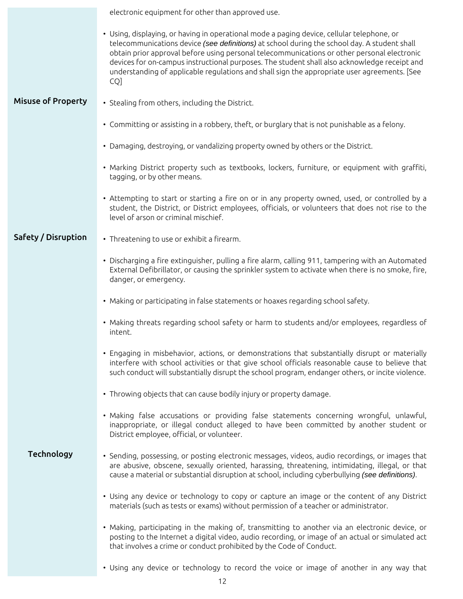|                           | electronic equipment for other than approved use.                                                                                                                                                                                                                                                                                                                                                                                                                                                |  |  |
|---------------------------|--------------------------------------------------------------------------------------------------------------------------------------------------------------------------------------------------------------------------------------------------------------------------------------------------------------------------------------------------------------------------------------------------------------------------------------------------------------------------------------------------|--|--|
|                           | • Using, displaying, or having in operational mode a paging device, cellular telephone, or<br>telecommunications device (see definitions) at school during the school day. A student shall<br>obtain prior approval before using personal telecommunications or other personal electronic<br>devices for on-campus instructional purposes. The student shall also acknowledge receipt and<br>understanding of applicable regulations and shall sign the appropriate user agreements. [See<br>CQ] |  |  |
| <b>Misuse of Property</b> | • Stealing from others, including the District.                                                                                                                                                                                                                                                                                                                                                                                                                                                  |  |  |
|                           | • Committing or assisting in a robbery, theft, or burglary that is not punishable as a felony.                                                                                                                                                                                                                                                                                                                                                                                                   |  |  |
|                           | • Damaging, destroying, or vandalizing property owned by others or the District.                                                                                                                                                                                                                                                                                                                                                                                                                 |  |  |
|                           | • Marking District property such as textbooks, lockers, furniture, or equipment with graffiti,<br>tagging, or by other means.                                                                                                                                                                                                                                                                                                                                                                    |  |  |
|                           | • Attempting to start or starting a fire on or in any property owned, used, or controlled by a<br>student, the District, or District employees, officials, or volunteers that does not rise to the<br>level of arson or criminal mischief.                                                                                                                                                                                                                                                       |  |  |
| Safety / Disruption       | • Threatening to use or exhibit a firearm.                                                                                                                                                                                                                                                                                                                                                                                                                                                       |  |  |
|                           | • Discharging a fire extinguisher, pulling a fire alarm, calling 911, tampering with an Automated<br>External Defibrillator, or causing the sprinkler system to activate when there is no smoke, fire,<br>danger, or emergency.                                                                                                                                                                                                                                                                  |  |  |
|                           | • Making or participating in false statements or hoaxes regarding school safety.                                                                                                                                                                                                                                                                                                                                                                                                                 |  |  |
|                           | • Making threats regarding school safety or harm to students and/or employees, regardless of<br>intent.                                                                                                                                                                                                                                                                                                                                                                                          |  |  |
|                           | • Engaging in misbehavior, actions, or demonstrations that substantially disrupt or materially<br>interfere with school activities or that give school officials reasonable cause to believe that<br>such conduct will substantially disrupt the school program, endanger others, or incite violence.                                                                                                                                                                                            |  |  |
|                           | • Throwing objects that can cause bodily injury or property damage.                                                                                                                                                                                                                                                                                                                                                                                                                              |  |  |
|                           | • Making false accusations or providing false statements concerning wrongful, unlawful,<br>inappropriate, or illegal conduct alleged to have been committed by another student or<br>District employee, official, or volunteer.                                                                                                                                                                                                                                                                  |  |  |
| Technology                | • Sending, possessing, or posting electronic messages, videos, audio recordings, or images that<br>are abusive, obscene, sexually oriented, harassing, threatening, intimidating, illegal, or that<br>cause a material or substantial disruption at school, including cyberbullying (see definitions).                                                                                                                                                                                           |  |  |
|                           | • Using any device or technology to copy or capture an image or the content of any District<br>materials (such as tests or exams) without permission of a teacher or administrator.                                                                                                                                                                                                                                                                                                              |  |  |
|                           | • Making, participating in the making of, transmitting to another via an electronic device, or<br>posting to the Internet a digital video, audio recording, or image of an actual or simulated act<br>that involves a crime or conduct prohibited by the Code of Conduct.                                                                                                                                                                                                                        |  |  |
|                           | • Using any device or technology to record the voice or image of another in any way that                                                                                                                                                                                                                                                                                                                                                                                                         |  |  |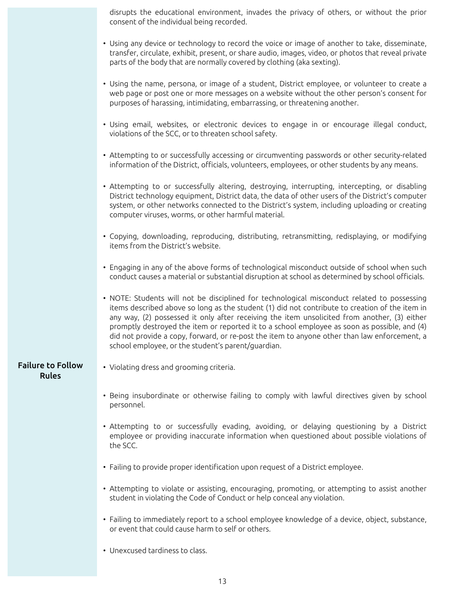disrupts the educational environment, invades the privacy of others, or without the prior consent of the individual being recorded.

- Using any device or technology to record the voice or image of another to take, disseminate, transfer, circulate, exhibit, present, or share audio, images, video, or photos that reveal private parts of the body that are normally covered by clothing (aka sexting).
- Using the name, persona, or image of a student, District employee, or volunteer to create a web page or post one or more messages on a website without the other person's consent for purposes of harassing, intimidating, embarrassing, or threatening another.
- Using email, websites, or electronic devices to engage in or encourage illegal conduct, violations of the SCC, or to threaten school safety.
- Attempting to or successfully accessing or circumventing passwords or other security-related information of the District, officials, volunteers, employees, or other students by any means.
- Attempting to or successfully altering, destroying, interrupting, intercepting, or disabling District technology equipment, District data, the data of other users of the District's computer system, or other networks connected to the District's system, including uploading or creating computer viruses, worms, or other harmful material.
- Copying, downloading, reproducing, distributing, retransmitting, redisplaying, or modifying items from the District's website.
- Engaging in any of the above forms of technological misconduct outside of school when such conduct causes a material or substantial disruption at school as determined by school officials.
- NOTE: Students will not be disciplined for technological misconduct related to possessing items described above so long as the student (1) did not contribute to creation of the item in any way, (2) possessed it only after receiving the item unsolicited from another, (3) either promptly destroyed the item or reported it to a school employee as soon as possible, and (4) did not provide a copy, forward, or re-post the item to anyone other than law enforcement, a school employee, or the student's parent/guardian.

#### Failure to Follow Rules

- Violating dress and grooming criteria.
- Being insubordinate or otherwise failing to comply with lawful directives given by school personnel.
- Attempting to or successfully evading, avoiding, or delaying questioning by a District employee or providing inaccurate information when questioned about possible violations of the SCC.
- Failing to provide proper identification upon request of a District employee.
- Attempting to violate or assisting, encouraging, promoting, or attempting to assist another student in violating the Code of Conduct or help conceal any violation.
- Failing to immediately report to a school employee knowledge of a device, object, substance, or event that could cause harm to self or others.
- Unexcused tardiness to class.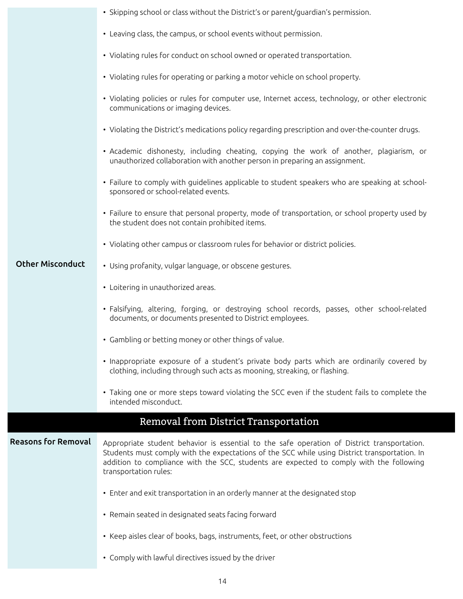|                            | • Skipping school or class without the District's or parent/guardian's permission.                                                                                                                                                                                                                               |  |  |
|----------------------------|------------------------------------------------------------------------------------------------------------------------------------------------------------------------------------------------------------------------------------------------------------------------------------------------------------------|--|--|
|                            | • Leaving class, the campus, or school events without permission.                                                                                                                                                                                                                                                |  |  |
|                            | • Violating rules for conduct on school owned or operated transportation.                                                                                                                                                                                                                                        |  |  |
|                            | • Violating rules for operating or parking a motor vehicle on school property.                                                                                                                                                                                                                                   |  |  |
|                            | • Violating policies or rules for computer use, Internet access, technology, or other electronic<br>communications or imaging devices.                                                                                                                                                                           |  |  |
|                            | • Violating the District's medications policy regarding prescription and over-the-counter drugs.                                                                                                                                                                                                                 |  |  |
|                            | • Academic dishonesty, including cheating, copying the work of another, plagiarism, or<br>unauthorized collaboration with another person in preparing an assignment.                                                                                                                                             |  |  |
|                            | • Failure to comply with guidelines applicable to student speakers who are speaking at school-<br>sponsored or school-related events.                                                                                                                                                                            |  |  |
|                            | • Failure to ensure that personal property, mode of transportation, or school property used by<br>the student does not contain prohibited items.                                                                                                                                                                 |  |  |
|                            | • Violating other campus or classroom rules for behavior or district policies.                                                                                                                                                                                                                                   |  |  |
| <b>Other Misconduct</b>    | • Using profanity, vulgar language, or obscene gestures.                                                                                                                                                                                                                                                         |  |  |
|                            | • Loitering in unauthorized areas.                                                                                                                                                                                                                                                                               |  |  |
|                            | · Falsifying, altering, forging, or destroying school records, passes, other school-related<br>documents, or documents presented to District employees.                                                                                                                                                          |  |  |
|                            | • Gambling or betting money or other things of value.                                                                                                                                                                                                                                                            |  |  |
|                            | • Inappropriate exposure of a student's private body parts which are ordinarily covered by<br>clothing, including through such acts as mooning, streaking, or flashing.                                                                                                                                          |  |  |
|                            | • Taking one or more steps toward violating the SCC even if the student fails to complete the<br>intended misconduct.                                                                                                                                                                                            |  |  |
|                            | Removal from District Transportation                                                                                                                                                                                                                                                                             |  |  |
| <b>Reasons for Removal</b> | Appropriate student behavior is essential to the safe operation of District transportation.<br>Students must comply with the expectations of the SCC while using District transportation. In<br>addition to compliance with the SCC, students are expected to comply with the following<br>transportation rules: |  |  |
|                            | • Enter and exit transportation in an orderly manner at the designated stop                                                                                                                                                                                                                                      |  |  |
|                            | • Remain seated in designated seats facing forward                                                                                                                                                                                                                                                               |  |  |
|                            | • Keep aisles clear of books, bags, instruments, feet, or other obstructions                                                                                                                                                                                                                                     |  |  |
|                            | • Comply with lawful directives issued by the driver                                                                                                                                                                                                                                                             |  |  |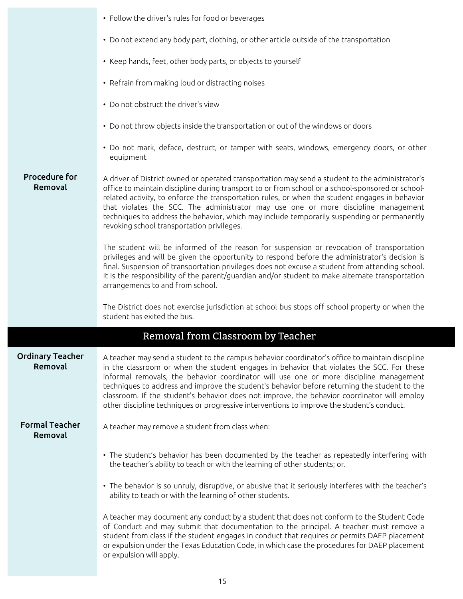|                                    | • Follow the driver's rules for food or beverages                                                                                                                                                                                                                                                                                                                                                                                                                                                                                                                                   |  |  |
|------------------------------------|-------------------------------------------------------------------------------------------------------------------------------------------------------------------------------------------------------------------------------------------------------------------------------------------------------------------------------------------------------------------------------------------------------------------------------------------------------------------------------------------------------------------------------------------------------------------------------------|--|--|
|                                    | • Do not extend any body part, clothing, or other article outside of the transportation                                                                                                                                                                                                                                                                                                                                                                                                                                                                                             |  |  |
|                                    | • Keep hands, feet, other body parts, or objects to yourself                                                                                                                                                                                                                                                                                                                                                                                                                                                                                                                        |  |  |
|                                    | • Refrain from making loud or distracting noises                                                                                                                                                                                                                                                                                                                                                                                                                                                                                                                                    |  |  |
|                                    | • Do not obstruct the driver's view                                                                                                                                                                                                                                                                                                                                                                                                                                                                                                                                                 |  |  |
|                                    | • Do not throw objects inside the transportation or out of the windows or doors                                                                                                                                                                                                                                                                                                                                                                                                                                                                                                     |  |  |
|                                    | • Do not mark, deface, destruct, or tamper with seats, windows, emergency doors, or other<br>equipment                                                                                                                                                                                                                                                                                                                                                                                                                                                                              |  |  |
| <b>Procedure for</b><br>Removal    | A driver of District owned or operated transportation may send a student to the administrator's<br>office to maintain discipline during transport to or from school or a school-sponsored or school-<br>related activity, to enforce the transportation rules, or when the student engages in behavior<br>that violates the SCC. The administrator may use one or more discipline management<br>techniques to address the behavior, which may include temporarily suspending or permanently<br>revoking school transportation privileges.                                           |  |  |
|                                    | The student will be informed of the reason for suspension or revocation of transportation<br>privileges and will be given the opportunity to respond before the administrator's decision is<br>final. Suspension of transportation privileges does not excuse a student from attending school.<br>It is the responsibility of the parent/guardian and/or student to make alternate transportation<br>arrangements to and from school.                                                                                                                                               |  |  |
|                                    | The District does not exercise jurisdiction at school bus stops off school property or when the<br>student has exited the bus.                                                                                                                                                                                                                                                                                                                                                                                                                                                      |  |  |
|                                    | Removal from Classroom by Teacher                                                                                                                                                                                                                                                                                                                                                                                                                                                                                                                                                   |  |  |
| <b>Ordinary Teacher</b><br>Removal | A teacher may send a student to the campus behavior coordinator's office to maintain discipline<br>in the classroom or when the student engages in behavior that violates the SCC. For these<br>informal removals, the behavior coordinator will use one or more discipline management<br>techniques to address and improve the student's behavior before returning the student to the<br>classroom. If the student's behavior does not improve, the behavior coordinator will employ<br>other discipline techniques or progressive interventions to improve the student's conduct. |  |  |
| <b>Formal Teacher</b><br>Removal   | A teacher may remove a student from class when:                                                                                                                                                                                                                                                                                                                                                                                                                                                                                                                                     |  |  |
|                                    | • The student's behavior has been documented by the teacher as repeatedly interfering with<br>the teacher's ability to teach or with the learning of other students; or.                                                                                                                                                                                                                                                                                                                                                                                                            |  |  |
|                                    | • The behavior is so unruly, disruptive, or abusive that it seriously interferes with the teacher's<br>ability to teach or with the learning of other students.                                                                                                                                                                                                                                                                                                                                                                                                                     |  |  |
|                                    | A teacher may document any conduct by a student that does not conform to the Student Code<br>of Conduct and may submit that documentation to the principal. A teacher must remove a<br>student from class if the student engages in conduct that requires or permits DAEP placement<br>or expulsion under the Texas Education Code, in which case the procedures for DAEP placement<br>or expulsion will apply.                                                                                                                                                                     |  |  |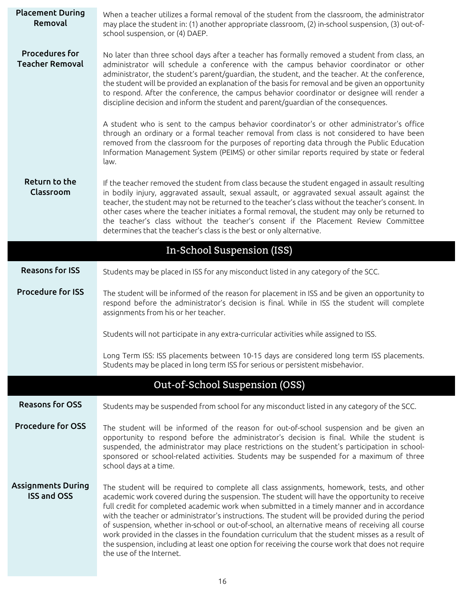| <b>Placement During</b><br>Removal              | When a teacher utilizes a formal removal of the student from the classroom, the administrator<br>may place the student in: (1) another appropriate classroom, (2) in-school suspension, (3) out-of-<br>school suspension, or (4) DAEP.                                                                                                                                                                                                                                                                                                                                                                                                                                                                                                 |  |  |  |
|-------------------------------------------------|----------------------------------------------------------------------------------------------------------------------------------------------------------------------------------------------------------------------------------------------------------------------------------------------------------------------------------------------------------------------------------------------------------------------------------------------------------------------------------------------------------------------------------------------------------------------------------------------------------------------------------------------------------------------------------------------------------------------------------------|--|--|--|
| <b>Procedures for</b><br><b>Teacher Removal</b> | No later than three school days after a teacher has formally removed a student from class, an<br>administrator will schedule a conference with the campus behavior coordinator or other<br>administrator, the student's parent/guardian, the student, and the teacher. At the conference,<br>the student will be provided an explanation of the basis for removal and be given an opportunity<br>to respond. After the conference, the campus behavior coordinator or designee will render a<br>discipline decision and inform the student and parent/guardian of the consequences.                                                                                                                                                    |  |  |  |
|                                                 | A student who is sent to the campus behavior coordinator's or other administrator's office<br>through an ordinary or a formal teacher removal from class is not considered to have been<br>removed from the classroom for the purposes of reporting data through the Public Education<br>Information Management System (PEIMS) or other similar reports required by state or federal<br>law.                                                                                                                                                                                                                                                                                                                                           |  |  |  |
| Return to the<br>Classroom                      | If the teacher removed the student from class because the student engaged in assault resulting<br>in bodily injury, aggravated assault, sexual assault, or aggravated sexual assault against the<br>teacher, the student may not be returned to the teacher's class without the teacher's consent. In<br>other cases where the teacher initiates a formal removal, the student may only be returned to<br>the teacher's class without the teacher's consent if the Placement Review Committee<br>determines that the teacher's class is the best or only alternative.                                                                                                                                                                  |  |  |  |
|                                                 | In-School Suspension (ISS)                                                                                                                                                                                                                                                                                                                                                                                                                                                                                                                                                                                                                                                                                                             |  |  |  |
| <b>Reasons for ISS</b>                          | Students may be placed in ISS for any misconduct listed in any category of the SCC.                                                                                                                                                                                                                                                                                                                                                                                                                                                                                                                                                                                                                                                    |  |  |  |
| <b>Procedure for ISS</b>                        | The student will be informed of the reason for placement in ISS and be given an opportunity to<br>respond before the administrator's decision is final. While in ISS the student will complete<br>assignments from his or her teacher.                                                                                                                                                                                                                                                                                                                                                                                                                                                                                                 |  |  |  |
|                                                 | Students will not participate in any extra-curricular activities while assigned to ISS.                                                                                                                                                                                                                                                                                                                                                                                                                                                                                                                                                                                                                                                |  |  |  |
|                                                 | Long Term ISS: ISS placements between 10-15 days are considered long term ISS placements.<br>Students may be placed in long term ISS for serious or persistent misbehavior.                                                                                                                                                                                                                                                                                                                                                                                                                                                                                                                                                            |  |  |  |
|                                                 | Out-of-School Suspension (OSS)                                                                                                                                                                                                                                                                                                                                                                                                                                                                                                                                                                                                                                                                                                         |  |  |  |
| <b>Reasons for OSS</b>                          | Students may be suspended from school for any misconduct listed in any category of the SCC.                                                                                                                                                                                                                                                                                                                                                                                                                                                                                                                                                                                                                                            |  |  |  |
| <b>Procedure for OSS</b>                        | The student will be informed of the reason for out-of-school suspension and be given an<br>opportunity to respond before the administrator's decision is final. While the student is<br>suspended, the administrator may place restrictions on the student's participation in school-<br>sponsored or school-related activities. Students may be suspended for a maximum of three<br>school days at a time.                                                                                                                                                                                                                                                                                                                            |  |  |  |
| <b>Assignments During</b><br><b>ISS and OSS</b> | The student will be required to complete all class assignments, homework, tests, and other<br>academic work covered during the suspension. The student will have the opportunity to receive<br>full credit for completed academic work when submitted in a timely manner and in accordance<br>with the teacher or administrator's instructions. The student will be provided during the period<br>of suspension, whether in-school or out-of-school, an alternative means of receiving all course<br>work provided in the classes in the foundation curriculum that the student misses as a result of<br>the suspension, including at least one option for receiving the course work that does not require<br>the use of the Internet. |  |  |  |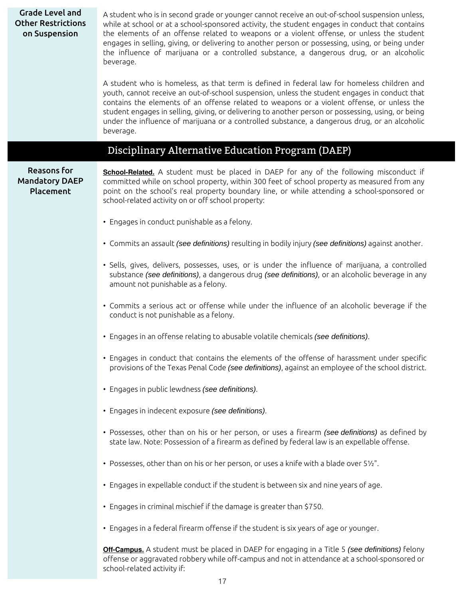| <b>Grade Level and</b><br><b>Other Restrictions</b><br>on Suspension | A student who is in second grade or younger cannot receive an out-of-school suspension unless,<br>while at school or at a school-sponsored activity, the student engages in conduct that contains<br>the elements of an offense related to weapons or a violent offense, or unless the student<br>engages in selling, giving, or delivering to another person or possessing, using, or being under<br>the influence of marijuana or a controlled substance, a dangerous drug, or an alcoholic<br>beverage.<br>A student who is homeless, as that term is defined in federal law for homeless children and |
|----------------------------------------------------------------------|-----------------------------------------------------------------------------------------------------------------------------------------------------------------------------------------------------------------------------------------------------------------------------------------------------------------------------------------------------------------------------------------------------------------------------------------------------------------------------------------------------------------------------------------------------------------------------------------------------------|
|                                                                      | youth, cannot receive an out-of-school suspension, unless the student engages in conduct that<br>contains the elements of an offense related to weapons or a violent offense, or unless the<br>student engages in selling, giving, or delivering to another person or possessing, using, or being<br>under the influence of marijuana or a controlled substance, a dangerous drug, or an alcoholic<br>beverage.                                                                                                                                                                                           |
|                                                                      | Disciplinary Alternative Education Program (DAEP)                                                                                                                                                                                                                                                                                                                                                                                                                                                                                                                                                         |
| <b>Reasons for</b><br><b>Mandatory DAEP</b><br>Placement             | School-Related. A student must be placed in DAEP for any of the following misconduct if<br>committed while on school property, within 300 feet of school property as measured from any<br>point on the school's real property boundary line, or while attending a school-sponsored or<br>school-related activity on or off school property:                                                                                                                                                                                                                                                               |
|                                                                      | • Engages in conduct punishable as a felony.                                                                                                                                                                                                                                                                                                                                                                                                                                                                                                                                                              |
|                                                                      | · Commits an assault (see definitions) resulting in bodily injury (see definitions) against another.                                                                                                                                                                                                                                                                                                                                                                                                                                                                                                      |
|                                                                      | • Sells, gives, delivers, possesses, uses, or is under the influence of marijuana, a controlled<br>substance (see definitions), a dangerous drug (see definitions), or an alcoholic beverage in any<br>amount not punishable as a felony.                                                                                                                                                                                                                                                                                                                                                                 |
|                                                                      | • Commits a serious act or offense while under the influence of an alcoholic beverage if the<br>conduct is not punishable as a felony.                                                                                                                                                                                                                                                                                                                                                                                                                                                                    |
|                                                                      | • Engages in an offense relating to abusable volatile chemicals (see definitions).                                                                                                                                                                                                                                                                                                                                                                                                                                                                                                                        |
|                                                                      | • Engages in conduct that contains the elements of the offense of harassment under specific<br>provisions of the Texas Penal Code (see definitions), against an employee of the school district.                                                                                                                                                                                                                                                                                                                                                                                                          |
|                                                                      | • Engages in public lewdness (see definitions).                                                                                                                                                                                                                                                                                                                                                                                                                                                                                                                                                           |
|                                                                      | · Engages in indecent exposure (see definitions).                                                                                                                                                                                                                                                                                                                                                                                                                                                                                                                                                         |
|                                                                      | • Possesses, other than on his or her person, or uses a firearm (see definitions) as defined by<br>state law. Note: Possession of a firearm as defined by federal law is an expellable offense.                                                                                                                                                                                                                                                                                                                                                                                                           |
|                                                                      | • Possesses, other than on his or her person, or uses a knife with a blade over 51/2".                                                                                                                                                                                                                                                                                                                                                                                                                                                                                                                    |
|                                                                      | • Engages in expellable conduct if the student is between six and nine years of age.                                                                                                                                                                                                                                                                                                                                                                                                                                                                                                                      |
|                                                                      | • Engages in criminal mischief if the damage is greater than \$750.                                                                                                                                                                                                                                                                                                                                                                                                                                                                                                                                       |
|                                                                      | • Engages in a federal firearm offense if the student is six years of age or younger.                                                                                                                                                                                                                                                                                                                                                                                                                                                                                                                     |
|                                                                      | Off-Campus. A student must be placed in DAEP for engaging in a Title 5 (see definitions) felony<br>offense or aggravated robbery while off-campus and not in attendance at a school-sponsored or<br>school-related activity if:                                                                                                                                                                                                                                                                                                                                                                           |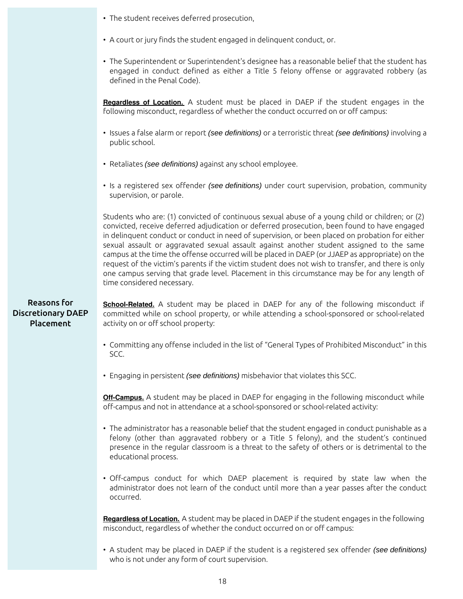|  |  |  |  | • The student receives deferred prosecution, |
|--|--|--|--|----------------------------------------------|
|--|--|--|--|----------------------------------------------|

- A court or jury finds the student engaged in delinquent conduct, or.
- The Superintendent or Superintendent's designee has a reasonable belief that the student has engaged in conduct defined as either a Title 5 felony offense or aggravated robbery (as defined in the Penal Code).

**Regardless of Location.** A student must be placed in DAEP if the student engages in the following misconduct, regardless of whether the conduct occurred on or off campus:

- Issues a false alarm or report (see definitions) or a terroristic threat (see definitions) involving a public school.
- Retaliates (see definitions) against any school employee.
- Is a registered sex offender (see definitions) under court supervision, probation, community supervision, or parole.

Students who are: (1) convicted of continuous sexual abuse of a young child or children; or (2) convicted, receive deferred adjudication or deferred prosecution, been found to have engaged in delinquent conduct or conduct in need of supervision, or been placed on probation for either sexual assault or aggravated sexual assault against another student assigned to the same campus at the time the offense occurred will be placed in DAEP (or JJAEP as appropriate) on the request of the victim's parents if the victim student does not wish to transfer, and there is only one campus serving that grade level. Placement in this circumstance may be for any length of time considered necessary.

### Reasons for Discretionary DAEP Placement

**School-Related.** A student may be placed in DAEP for any of the following misconduct if committed while on school property, or while attending a school-sponsored or school-related activity on or off school property:

- Committing any offense included in the list of "General Types of Prohibited Misconduct" in this SCC.
- Engaging in persistent (see definitions) misbehavior that violates this SCC.

**Off-Campus.** A student may be placed in DAEP for engaging in the following misconduct while off-campus and not in attendance at a school-sponsored or school-related activity:

- The administrator has a reasonable belief that the student engaged in conduct punishable as a felony (other than aggravated robbery or a Title 5 felony), and the student's continued presence in the regular classroom is a threat to the safety of others or is detrimental to the educational process.
- Off-campus conduct for which DAEP placement is required by state law when the administrator does not learn of the conduct until more than a year passes after the conduct occurred.

**Regardless of Location.** A student may be placed in DAEP if the student engages in the following misconduct, regardless of whether the conduct occurred on or off campus:

• A student may be placed in DAEP if the student is a registered sex offender (see definitions) who is not under any form of court supervision.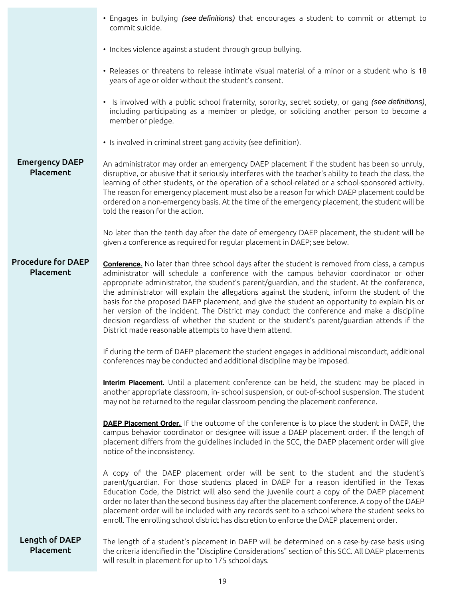|                                        | • Engages in bullying (see definitions) that encourages a student to commit or attempt to<br>commit suicide.                                                                                                                                                                                                                                                                                                                                                                                                                                                                                                                                                                                                                                           |
|----------------------------------------|--------------------------------------------------------------------------------------------------------------------------------------------------------------------------------------------------------------------------------------------------------------------------------------------------------------------------------------------------------------------------------------------------------------------------------------------------------------------------------------------------------------------------------------------------------------------------------------------------------------------------------------------------------------------------------------------------------------------------------------------------------|
|                                        | • Incites violence against a student through group bullying.                                                                                                                                                                                                                                                                                                                                                                                                                                                                                                                                                                                                                                                                                           |
|                                        | • Releases or threatens to release intimate visual material of a minor or a student who is 18<br>years of age or older without the student's consent.                                                                                                                                                                                                                                                                                                                                                                                                                                                                                                                                                                                                  |
|                                        | • Is involved with a public school fraternity, sorority, secret society, or gang (see definitions),<br>including participating as a member or pledge, or soliciting another person to become a<br>member or pledge.                                                                                                                                                                                                                                                                                                                                                                                                                                                                                                                                    |
|                                        | • Is involved in criminal street gang activity (see definition).                                                                                                                                                                                                                                                                                                                                                                                                                                                                                                                                                                                                                                                                                       |
| <b>Emergency DAEP</b><br>Placement     | An administrator may order an emergency DAEP placement if the student has been so unruly,<br>disruptive, or abusive that it seriously interferes with the teacher's ability to teach the class, the<br>learning of other students, or the operation of a school-related or a school-sponsored activity.<br>The reason for emergency placement must also be a reason for which DAEP placement could be<br>ordered on a non-emergency basis. At the time of the emergency placement, the student will be<br>told the reason for the action.                                                                                                                                                                                                              |
|                                        | No later than the tenth day after the date of emergency DAEP placement, the student will be<br>given a conference as required for regular placement in DAEP; see below.                                                                                                                                                                                                                                                                                                                                                                                                                                                                                                                                                                                |
| <b>Procedure for DAEP</b><br>Placement | <b>Conference.</b> No later than three school days after the student is removed from class, a campus<br>administrator will schedule a conference with the campus behavior coordinator or other<br>appropriate administrator, the student's parent/guardian, and the student. At the conference,<br>the administrator will explain the allegations against the student, inform the student of the<br>basis for the proposed DAEP placement, and give the student an opportunity to explain his or<br>her version of the incident. The District may conduct the conference and make a discipline<br>decision regardless of whether the student or the student's parent/guardian attends if the<br>District made reasonable attempts to have them attend. |
|                                        | If during the term of DAEP placement the student engages in additional misconduct, additional<br>conferences may be conducted and additional discipline may be imposed.                                                                                                                                                                                                                                                                                                                                                                                                                                                                                                                                                                                |
|                                        | Interim Placement. Until a placement conference can be held, the student may be placed in<br>another appropriate classroom, in- school suspension, or out-of-school suspension. The student<br>may not be returned to the regular classroom pending the placement conference.                                                                                                                                                                                                                                                                                                                                                                                                                                                                          |
|                                        | <b>DAEP Placement Order.</b> If the outcome of the conference is to place the student in DAEP, the<br>campus behavior coordinator or designee will issue a DAEP placement order. If the length of<br>placement differs from the guidelines included in the SCC, the DAEP placement order will give<br>notice of the inconsistency.                                                                                                                                                                                                                                                                                                                                                                                                                     |
|                                        | A copy of the DAEP placement order will be sent to the student and the student's<br>parent/guardian. For those students placed in DAEP for a reason identified in the Texas<br>Education Code, the District will also send the juvenile court a copy of the DAEP placement<br>order no later than the second business day after the placement conference. A copy of the DAEP<br>placement order will be included with any records sent to a school where the student seeks to<br>enroll. The enrolling school district has discretion to enforce the DAEP placement order.                                                                                                                                                                             |
| Length of DAEP<br>Placement            | The length of a student's placement in DAEP will be determined on a case-by-case basis using<br>the criteria identified in the "Discipline Considerations" section of this SCC. All DAEP placements<br>will result in placement for up to 175 school days.                                                                                                                                                                                                                                                                                                                                                                                                                                                                                             |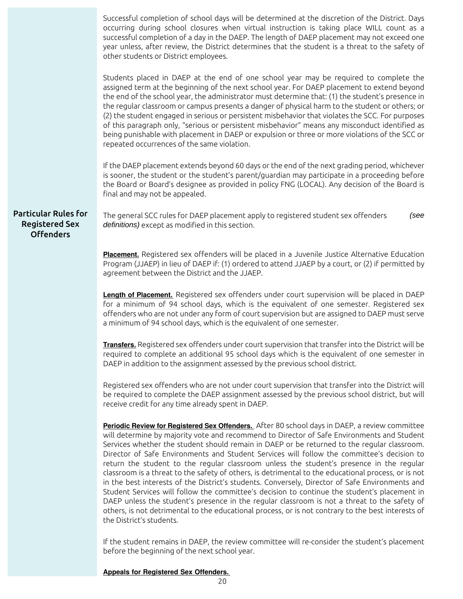Successful completion of school days will be determined at the discretion of the District. Days occurring during school closures when virtual instruction is taking place WILL count as a successful completion of a day in the DAEP. The length of DAEP placement may not exceed one year unless, after review, the District determines that the student is a threat to the safety of other students or District employees. Students placed in DAEP at the end of one school year may be required to complete the assigned term at the beginning of the next school year. For DAEP placement to extend beyond the end of the school year, the administrator must determine that: (1) the student's presence in the regular classroom or campus presents a danger of physical harm to the student or others; or (2) the student engaged in serious or persistent misbehavior that violates the SCC. For purposes of this paragraph only, "serious or persistent misbehavior" means any misconduct identified as being punishable with placement in DAEP or expulsion or three or more violations of the SCC or repeated occurrences of the same violation. If the DAEP placement extends beyond 60 days or the end of the next grading period, whichever is sooner, the student or the student's parent/guardian may participate in a proceeding before the Board or Board's designee as provided in policy FNG (LOCAL). Any decision of the Board is final and may not be appealed. Particular Rules for Registered Sex Offenders The general SCC rules for DAEP placement apply to registered student sex offenders (see definitions) except as modified in this section. **Placement.** Registered sex offenders will be placed in a Juvenile Justice Alternative Education Program (JJAEP) in lieu of DAEP if: (1) ordered to attend JJAEP by a court, or (2) if permitted by agreement between the District and the JJAEP. **Length of Placement.** Registered sex offenders under court supervision will be placed in DAEP for a minimum of 94 school days, which is the equivalent of one semester. Registered sex offenders who are not under any form of court supervision but are assigned to DAEP must serve a minimum of 94 school days, which is the equivalent of one semester. **Transfers.** Registered sex offenders under court supervision that transfer into the District will be required to complete an additional 95 school days which is the equivalent of one semester in DAEP in addition to the assignment assessed by the previous school district. Registered sex offenders who are not under court supervision that transfer into the District will be required to complete the DAEP assignment assessed by the previous school district, but will receive credit for any time already spent in DAEP. **Periodic Review for Registered Sex Offenders.** After 80 school days in DAEP, a review committee will determine by majority vote and recommend to Director of Safe Environments and Student Services whether the student should remain in DAEP or be returned to the regular classroom. Director of Safe Environments and Student Services will follow the committee's decision to return the student to the regular classroom unless the student's presence in the regular classroom is a threat to the safety of others, is detrimental to the educational process, or is not in the best interests of the District's students. Conversely, Director of Safe Environments and Student Services will follow the committee's decision to continue the student's placement in DAEP unless the student's presence in the regular classroom is not a threat to the safety of others, is not detrimental to the educational process, or is not contrary to the best interests of the District's students. If the student remains in DAEP, the review committee will re-consider the student's placement before the beginning of the next school year.

**Appeals for Registered Sex Offenders.**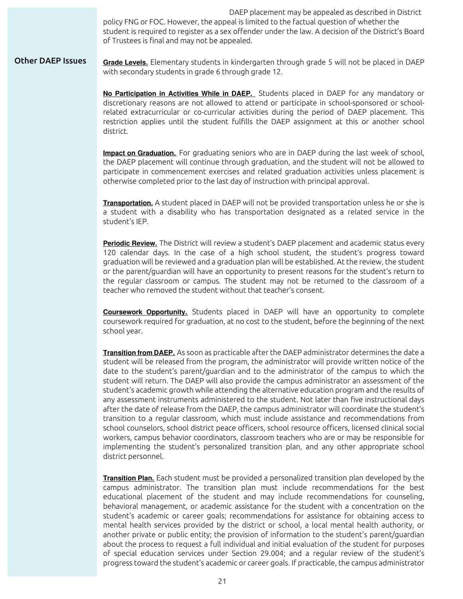DAEP placement may be appealed as described in District policy FNG or FOC. However, the appeal is limited to the factual question of whether the student is required to register as a sex offender under the law. A decision of the District's Board of Trustees is final and may not be appealed.

Other DAEP Issues **Grade Levels.** Elementary students in kindergarten through grade 5 will not be placed in DAEP with secondary students in grade 6 through grade 12.

> **No Participation in Activities While in DAEP.** Students placed in DAEP for any mandatory or discretionary reasons are not allowed to attend or participate in school-sponsored or schoolrelated extracurricular or co-curricular activities during the period of DAEP placement. This restriction applies until the student fulfills the DAEP assignment at this or another school district.

> **Impact on Graduation.** For graduating seniors who are in DAEP during the last week of school, the DAEP placement will continue through graduation, and the student will not be allowed to participate in commencement exercises and related graduation activities unless placement is otherwise completed prior to the last day of instruction with principal approval.

> **Transportation.** A student placed in DAEP will not be provided transportation unless he or she is a student with a disability who has transportation designated as a related service in the student's IEP.

> **Periodic Review.** The District will review a student's DAEP placement and academic status every 120 calendar days. In the case of a high school student, the student's progress toward graduation will be reviewed and a graduation plan will be established. At the review, the student or the parent/guardian will have an opportunity to present reasons for the student's return to the regular classroom or campus. The student may not be returned to the classroom of a teacher who removed the student without that teacher's consent.

> **Coursework Opportunity.** Students placed in DAEP will have an opportunity to complete coursework required for graduation, at no cost to the student, before the beginning of the next school year.

> **Transition from DAEP.** As soon as practicable after the DAEP administrator determines the date a student will be released from the program, the administrator will provide written notice of the date to the student's parent/guardian and to the administrator of the campus to which the student will return. The DAEP will also provide the campus administrator an assessment of the student's academic growth while attending the alternative education program and the results of any assessment instruments administered to the student. Not later than five instructional days after the date of release from the DAEP, the campus administrator will coordinate the student's transition to a regular classroom, which must include assistance and recommendations from school counselors, school district peace officers, school resource officers, licensed clinical social workers, campus behavior coordinators, classroom teachers who are or may be responsible for implementing the student's personalized transition plan, and any other appropriate school district personnel.

> **Transition Plan.** Each student must be provided a personalized transition plan developed by the campus administrator. The transition plan must include recommendations for the best educational placement of the student and may include recommendations for counseling, behavioral management, or academic assistance for the student with a concentration on the student's academic or career goals; recommendations for assistance for obtaining access to mental health services provided by the district or school, a local mental health authority, or another private or public entity; the provision of information to the student's parent/guardian about the process to request a full individual and initial evaluation of the student for purposes of special education services under Section 29.004; and a regular review of the student's progress toward the student's academic or career goals. If practicable, the campus administrator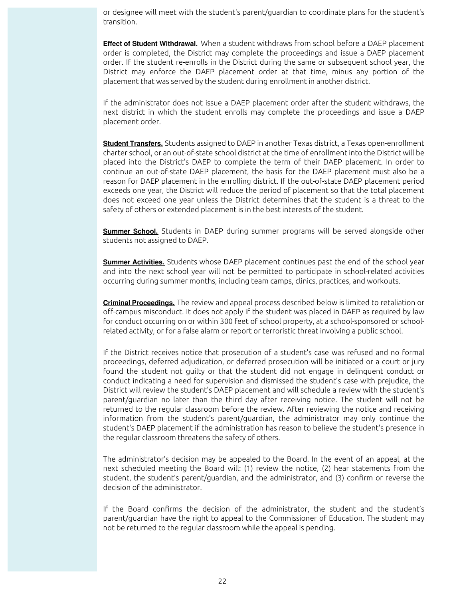or designee will meet with the student's parent/guardian to coordinate plans for the student's transition.

**Effect of Student Withdrawal.** When a student withdraws from school before a DAEP placement order is completed, the District may complete the proceedings and issue a DAEP placement order. If the student re-enrolls in the District during the same or subsequent school year, the District may enforce the DAEP placement order at that time, minus any portion of the placement that was served by the student during enrollment in another district.

If the administrator does not issue a DAEP placement order after the student withdraws, the next district in which the student enrolls may complete the proceedings and issue a DAEP placement order.

**Student Transfers.** Students assigned to DAEP in another Texas district, a Texas open-enrollment charter school, or an out-of-state school district at the time of enrollment into the District will be placed into the District's DAEP to complete the term of their DAEP placement. In order to continue an out-of-state DAEP placement, the basis for the DAEP placement must also be a reason for DAEP placement in the enrolling district. If the out-of-state DAEP placement period exceeds one year, the District will reduce the period of placement so that the total placement does not exceed one year unless the District determines that the student is a threat to the safety of others or extended placement is in the best interests of the student.

**Summer School.** Students in DAEP during summer programs will be served alongside other students not assigned to DAEP.

**Summer Activities.** Students whose DAEP placement continues past the end of the school year and into the next school year will not be permitted to participate in school-related activities occurring during summer months, including team camps, clinics, practices, and workouts.

**Criminal Proceedings.** The review and appeal process described below is limited to retaliation or off-campus misconduct. It does not apply if the student was placed in DAEP as required by law for conduct occurring on or within 300 feet of school property, at a school-sponsored or schoolrelated activity, or for a false alarm or report or terroristic threat involving a public school.

If the District receives notice that prosecution of a student's case was refused and no formal proceedings, deferred adjudication, or deferred prosecution will be initiated or a court or jury found the student not guilty or that the student did not engage in delinquent conduct or conduct indicating a need for supervision and dismissed the student's case with prejudice, the District will review the student's DAEP placement and will schedule a review with the student's parent/guardian no later than the third day after receiving notice. The student will not be returned to the regular classroom before the review. After reviewing the notice and receiving information from the student's parent/guardian, the administrator may only continue the student's DAEP placement if the administration has reason to believe the student's presence in the regular classroom threatens the safety of others.

The administrator's decision may be appealed to the Board. In the event of an appeal, at the next scheduled meeting the Board will: (1) review the notice, (2) hear statements from the student, the student's parent/guardian, and the administrator, and (3) confirm or reverse the decision of the administrator.

If the Board confirms the decision of the administrator, the student and the student's parent/guardian have the right to appeal to the Commissioner of Education. The student may not be returned to the regular classroom while the appeal is pending.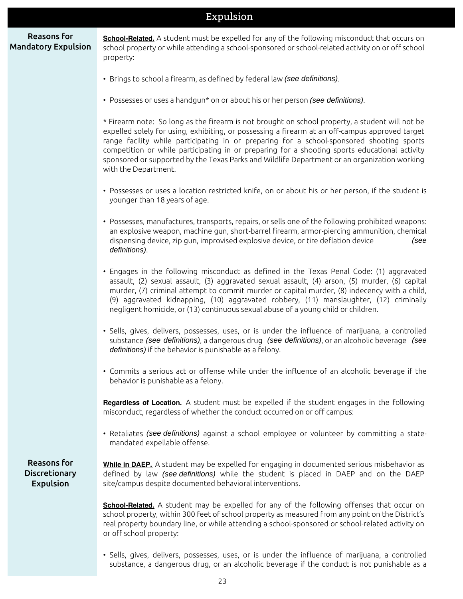|                                                                | Expulsion                                                                                                                                                                                                                                                                                                                                                                                                                                                                                                                |
|----------------------------------------------------------------|--------------------------------------------------------------------------------------------------------------------------------------------------------------------------------------------------------------------------------------------------------------------------------------------------------------------------------------------------------------------------------------------------------------------------------------------------------------------------------------------------------------------------|
| <b>Reasons for</b><br><b>Mandatory Expulsion</b>               | School-Related. A student must be expelled for any of the following misconduct that occurs on<br>school property or while attending a school-sponsored or school-related activity on or off school<br>property:                                                                                                                                                                                                                                                                                                          |
|                                                                | • Brings to school a firearm, as defined by federal law (see definitions).                                                                                                                                                                                                                                                                                                                                                                                                                                               |
|                                                                | • Possesses or uses a handgun* on or about his or her person (see definitions).                                                                                                                                                                                                                                                                                                                                                                                                                                          |
|                                                                | * Firearm note: So long as the firearm is not brought on school property, a student will not be<br>expelled solely for using, exhibiting, or possessing a firearm at an off-campus approved target<br>range facility while participating in or preparing for a school-sponsored shooting sports<br>competition or while participating in or preparing for a shooting sports educational activity<br>sponsored or supported by the Texas Parks and Wildlife Department or an organization working<br>with the Department. |
|                                                                | • Possesses or uses a location restricted knife, on or about his or her person, if the student is<br>younger than 18 years of age.                                                                                                                                                                                                                                                                                                                                                                                       |
|                                                                | • Possesses, manufactures, transports, repairs, or sells one of the following prohibited weapons:<br>an explosive weapon, machine gun, short-barrel firearm, armor-piercing ammunition, chemical<br>dispensing device, zip gun, improvised explosive device, or tire deflation device<br>(see<br>definitions).                                                                                                                                                                                                           |
|                                                                | • Engages in the following misconduct as defined in the Texas Penal Code: (1) aggravated<br>assault, (2) sexual assault, (3) aggravated sexual assault, (4) arson, (5) murder, (6) capital<br>murder, (7) criminal attempt to commit murder or capital murder, (8) indecency with a child,<br>(9) aggravated kidnapping, (10) aggravated robbery, (11) manslaughter, (12) criminally<br>negligent homicide, or (13) continuous sexual abuse of a young child or children.                                                |
|                                                                | • Sells, gives, delivers, possesses, uses, or is under the influence of marijuana, a controlled<br>substance (see definitions), a dangerous drug (see definitions), or an alcoholic beverage (see<br>definitions) if the behavior is punishable as a felony.                                                                                                                                                                                                                                                             |
|                                                                | • Commits a serious act or offense while under the influence of an alcoholic beverage if the<br>behavior is punishable as a felony.                                                                                                                                                                                                                                                                                                                                                                                      |
|                                                                | Regardless of Location. A student must be expelled if the student engages in the following<br>misconduct, regardless of whether the conduct occurred on or off campus:                                                                                                                                                                                                                                                                                                                                                   |
|                                                                | • Retaliates (see definitions) against a school employee or volunteer by committing a state-<br>mandated expellable offense.                                                                                                                                                                                                                                                                                                                                                                                             |
| <b>Reasons for</b><br><b>Discretionary</b><br><b>Expulsion</b> | While in DAEP. A student may be expelled for engaging in documented serious misbehavior as<br>defined by law (see definitions) while the student is placed in DAEP and on the DAEP<br>site/campus despite documented behavioral interventions.                                                                                                                                                                                                                                                                           |
|                                                                | <b>School-Related.</b> A student may be expelled for any of the following offenses that occur on<br>school property, within 300 feet of school property as measured from any point on the District's<br>real property boundary line, or while attending a school-sponsored or school-related activity on<br>or off school property:                                                                                                                                                                                      |
|                                                                | • Sells gives delivers possesses uses or is under the influence of marijuana a controlled                                                                                                                                                                                                                                                                                                                                                                                                                                |

• Sells, gives, delivers, possesses, uses, or is under the influence of marijuana, a controlled substance, a dangerous drug, or an alcoholic beverage if the conduct is not punishable as a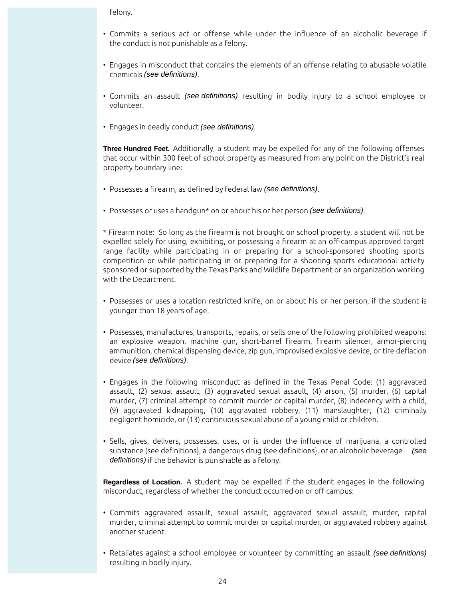felony.

- Commits a serious act or offense while under the influence of an alcoholic beverage if the conduct is not punishable as a felony.
- Engages in misconduct that contains the elements of an offense relating to abusable volatile chemicals (see definitions).
- Commits an assault (see definitions) resulting in bodily injury to a school employee or volunteer.
- Engages in deadly conduct (see definitions).

**Three Hundred Feet.** Additionally, a student may be expelled for any of the following offenses that occur within 300 feet of school property as measured from any point on the District's real property boundary line:

- Possesses a firearm, as defined by federal law (see definitions).
- Possesses or uses a handgun\* on or about his or her person (see definitions).

\* Firearm note: So long as the firearm is not brought on school property, a student will not be expelled solely for using, exhibiting, or possessing a firearm at an off-campus approved target range facility while participating in or preparing for a school-sponsored shooting sports competition or while participating in or preparing for a shooting sports educational activity sponsored or supported by the Texas Parks and Wildlife Department or an organization working with the Department.

- Possesses or uses a location restricted knife, on or about his or her person, if the student is younger than 18 years of age.
- Possesses, manufactures, transports, repairs, or sells one of the following prohibited weapons: an explosive weapon, machine gun, short-barrel firearm, firearm silencer, armor-piercing ammunition, chemical dispensing device, zip gun, improvised explosive device, or tire deflation device (see definitions).
- Engages in the following misconduct as defined in the Texas Penal Code: (1) aggravated assault, (2) sexual assault, (3) aggravated sexual assault, (4) arson, (5) murder, (6) capital murder, (7) criminal attempt to commit murder or capital murder, (8) indecency with a child, (9) aggravated kidnapping, (10) aggravated robbery, (11) manslaughter, (12) criminally negligent homicide, or (13) continuous sexual abuse of a young child or children.
- Sells, gives, delivers, possesses, uses, or is under the influence of marijuana, a controlled substance (see definitions), a dangerous drug (see definitions), or an alcoholic beverage (see definitions) if the behavior is punishable as a felony.

**Regardless of Location.** A student may be expelled if the student engages in the following misconduct, regardless of whether the conduct occurred on or off campus:

- Commits aggravated assault, sexual assault, aggravated sexual assault, murder, capital murder, criminal attempt to commit murder or capital murder, or aggravated robbery against another student.
- Retaliates against a school employee or volunteer by committing an assault (see definitions) resulting in bodily injury.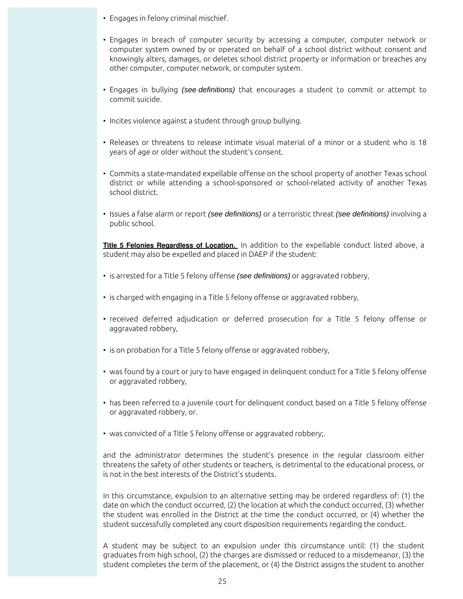- Engages in felony criminal mischief.
- Engages in breach of computer security by accessing a computer, computer network or computer system owned by or operated on behalf of a school district without consent and knowingly alters, damages, or deletes school district property or information or breaches any other computer, computer network, or computer system.
- Engages in bullying (see definitions) that encourages a student to commit or attempt to commit suicide.
- Incites violence against a student through group bullying.
- Releases or threatens to release intimate visual material of a minor or a student who is 18 years of age or older without the student's consent.
- Commits a state-mandated expellable offense on the school property of another Texas school district or while attending a school-sponsored or school-related activity of another Texas school district.
- Issues a false alarm or report (see definitions) or a terroristic threat (see definitions) involving a public school.

**Title 5 Felonies Regardless of Location.** In addition to the expellable conduct listed above, a student may also be expelled and placed in DAEP if the student:

- is arrested for a Title 5 felony offense (see definitions) or aggravated robbery,
- is charged with engaging in a Title 5 felony offense or aggravated robbery,
- received deferred adjudication or deferred prosecution for a Title 5 felony offense or aggravated robbery,
- is on probation for a Title 5 felony offense or aggravated robbery,
- was found by a court or jury to have engaged in delinquent conduct for a Title 5 felony offense or aggravated robbery,
- has been referred to a juvenile court for delinquent conduct based on a Title 5 felony offense or aggravated robbery, or.
- was convicted of a Title 5 felony offense or aggravated robbery;.

and the administrator determines the student's presence in the regular classroom either threatens the safety of other students or teachers, is detrimental to the educational process, or is not in the best interests of the District's students.

In this circumstance, expulsion to an alternative setting may be ordered regardless of: (1) the date on which the conduct occurred, (2) the location at which the conduct occurred, (3) whether the student was enrolled in the District at the time the conduct occurred, or (4) whether the student successfully completed any court disposition requirements regarding the conduct.

A student may be subject to an expulsion under this circumstance until: (1) the student graduates from high school, (2) the charges are dismissed or reduced to a misdemeanor, (3) the student completes the term of the placement, or (4) the District assigns the student to another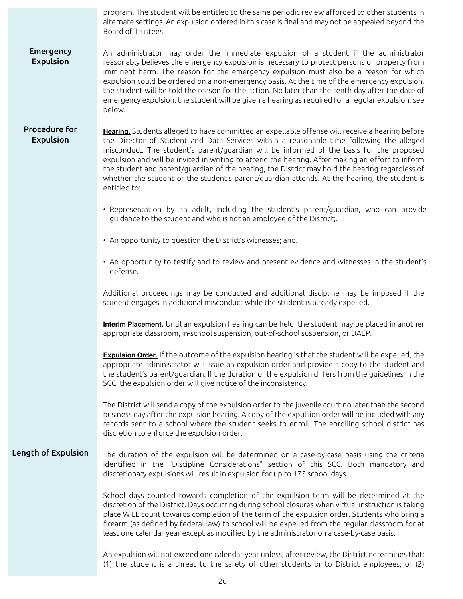|                                          | program. The student will be entitled to the same periodic review afforded to other students in<br>alternate settings. An expulsion ordered in this case is final and may not be appealed beyond the<br>Board of Trustees.                                                                                                                                                                                                                                                                                                                                                                                     |  |  |
|------------------------------------------|----------------------------------------------------------------------------------------------------------------------------------------------------------------------------------------------------------------------------------------------------------------------------------------------------------------------------------------------------------------------------------------------------------------------------------------------------------------------------------------------------------------------------------------------------------------------------------------------------------------|--|--|
| <b>Emergency</b><br>Expulsion            | An administrator may order the immediate expulsion of a student if the administrator<br>reasonably believes the emergency expulsion is necessary to protect persons or property from<br>imminent harm. The reason for the emergency expulsion must also be a reason for which<br>expulsion could be ordered on a non-emergency basis. At the time of the emergency expulsion,<br>the student will be told the reason for the action. No later than the tenth day after the date of<br>emergency expulsion, the student will be given a hearing as required for a regular expulsion; see<br>below.              |  |  |
| <b>Procedure for</b><br><b>Expulsion</b> | Hearing. Students alleged to have committed an expellable offense will receive a hearing before<br>the Director of Student and Data Services within a reasonable time following the alleged<br>misconduct. The student's parent/guardian will be informed of the basis for the proposed<br>expulsion and will be invited in writing to attend the hearing. After making an effort to inform<br>the student and parent/guardian of the hearing, the District may hold the hearing regardless of<br>whether the student or the student's parent/guardian attends. At the hearing, the student is<br>entitled to: |  |  |
|                                          | • Representation by an adult, including the student's parent/guardian, who can provide<br>guidance to the student and who is not an employee of the District;.                                                                                                                                                                                                                                                                                                                                                                                                                                                 |  |  |
|                                          | • An opportunity to question the District's witnesses; and.                                                                                                                                                                                                                                                                                                                                                                                                                                                                                                                                                    |  |  |
|                                          | • An opportunity to testify and to review and present evidence and witnesses in the student's<br>defense.                                                                                                                                                                                                                                                                                                                                                                                                                                                                                                      |  |  |
|                                          | Additional proceedings may be conducted and additional discipline may be imposed if the<br>student engages in additional misconduct while the student is already expelled.                                                                                                                                                                                                                                                                                                                                                                                                                                     |  |  |
|                                          | Interim Placement. Until an expulsion hearing can be held, the student may be placed in another<br>appropriate classroom, in-school suspension, out-of-school suspension, or DAEP.                                                                                                                                                                                                                                                                                                                                                                                                                             |  |  |
|                                          | <b>Expulsion Order.</b> If the outcome of the expulsion hearing is that the student will be expelled, the<br>appropriate administrator will issue an expulsion order and provide a copy to the student and<br>the student's parent/guardian. If the duration of the expulsion differs from the guidelines in the<br>SCC, the expulsion order will give notice of the inconsistency.                                                                                                                                                                                                                            |  |  |
|                                          | The District will send a copy of the expulsion order to the juvenile court no later than the second<br>business day after the expulsion hearing. A copy of the expulsion order will be included with any<br>records sent to a school where the student seeks to enroll. The enrolling school district has<br>discretion to enforce the expulsion order.                                                                                                                                                                                                                                                        |  |  |
| Length of Expulsion                      | The duration of the expulsion will be determined on a case-by-case basis using the criteria<br>identified in the "Discipline Considerations" section of this SCC. Both mandatory and<br>discretionary expulsions will result in expulsion for up to 175 school days.                                                                                                                                                                                                                                                                                                                                           |  |  |
|                                          | School days counted towards completion of the expulsion term will be determined at the<br>discretion of the District. Days occurring during school closures when virtual instruction is taking<br>place WILL count towards completion of the term of the expulsion order. Students who bring a<br>firearm (as defined by federal law) to school will be expelled from the regular classroom for at<br>least one calendar year except as modified by the administrator on a case-by-case basis.                                                                                                                 |  |  |
|                                          | An expulsion will not exceed one calendar year unless, after review, the District determines that:<br>(1) the student is a threat to the safety of other students or to District employees; or (2)                                                                                                                                                                                                                                                                                                                                                                                                             |  |  |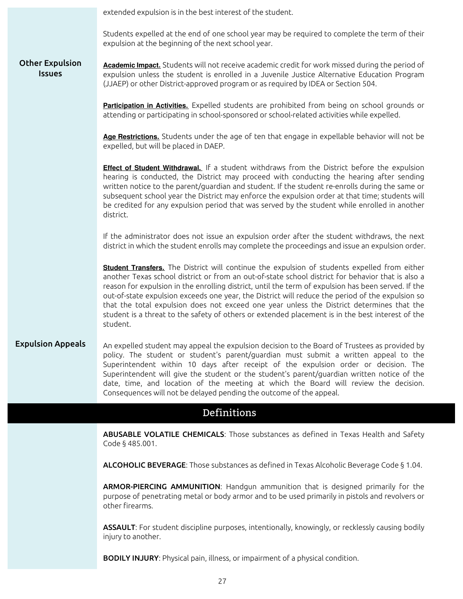extended expulsion is in the best interest of the student.

Students expelled at the end of one school year may be required to complete the term of their expulsion at the beginning of the next school year.

#### Other Expulsion **Issues Academic Impact.** Students will not receive academic credit for work missed during the period of expulsion unless the student is enrolled in a Juvenile Justice Alternative Education Program (JJAEP) or other District-approved program or as required by IDEA or Section 504.

**Participation in Activities.** Expelled students are prohibited from being on school grounds or attending or participating in school-sponsored or school-related activities while expelled.

**Age Restrictions.** Students under the age of ten that engage in expellable behavior will not be expelled, but will be placed in DAEP.

**Effect of Student Withdrawal.** If a student withdraws from the District before the expulsion hearing is conducted, the District may proceed with conducting the hearing after sending written notice to the parent/guardian and student. If the student re-enrolls during the same or subsequent school year the District may enforce the expulsion order at that time; students will be credited for any expulsion period that was served by the student while enrolled in another district.

If the administrator does not issue an expulsion order after the student withdraws, the next district in which the student enrolls may complete the proceedings and issue an expulsion order.

**Student Transfers.** The District will continue the expulsion of students expelled from either another Texas school district or from an out-of-state school district for behavior that is also a reason for expulsion in the enrolling district, until the term of expulsion has been served. If the out-of-state expulsion exceeds one year, the District will reduce the period of the expulsion so that the total expulsion does not exceed one year unless the District determines that the student is a threat to the safety of others or extended placement is in the best interest of the student.

Expulsion Appeals An expelled student may appeal the expulsion decision to the Board of Trustees as provided by policy. The student or student's parent/guardian must submit a written appeal to the Superintendent within 10 days after receipt of the expulsion order or decision. The Superintendent will give the student or the student's parent/guardian written notice of the date, time, and location of the meeting at which the Board will review the decision. Consequences will not be delayed pending the outcome of the appeal.

#### Definitions

ABUSABLE VOLATILE CHEMICALS: Those substances as defined in Texas Health and Safety Code § 485.001.

ALCOHOLIC BEVERAGE: Those substances as defined in Texas Alcoholic Beverage Code § 1.04.

ARMOR-PIERCING AMMUNITION: Handgun ammunition that is designed primarily for the purpose of penetrating metal or body armor and to be used primarily in pistols and revolvers or other firearms.

ASSAULT: For student discipline purposes, intentionally, knowingly, or recklessly causing bodily injury to another.

BODILY INJURY: Physical pain, illness, or impairment of a physical condition.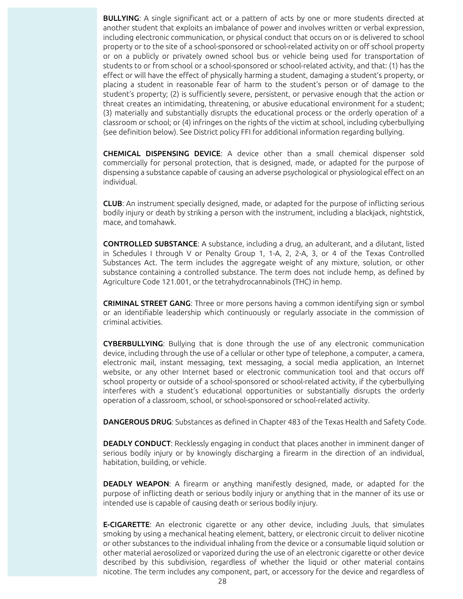**BULLYING:** A single significant act or a pattern of acts by one or more students directed at another student that exploits an imbalance of power and involves written or verbal expression, including electronic communication, or physical conduct that occurs on or is delivered to school property or to the site of a school-sponsored or school-related activity on or off school property or on a publicly or privately owned school bus or vehicle being used for transportation of students to or from school or a school-sponsored or school-related activity, and that: (1) has the effect or will have the effect of physically harming a student, damaging a student's property, or placing a student in reasonable fear of harm to the student's person or of damage to the student's property; (2) is sufficiently severe, persistent, or pervasive enough that the action or threat creates an intimidating, threatening, or abusive educational environment for a student; (3) materially and substantially disrupts the educational process or the orderly operation of a classroom or school; or (4) infringes on the rights of the victim at school, including cyberbullying (see definition below). See District policy FFI for additional information regarding bullying.

CHEMICAL DISPENSING DEVICE: A device other than a small chemical dispenser sold commercially for personal protection, that is designed, made, or adapted for the purpose of dispensing a substance capable of causing an adverse psychological or physiological effect on an individual.

CLUB: An instrument specially designed, made, or adapted for the purpose of inflicting serious bodily injury or death by striking a person with the instrument, including a blackjack, nightstick, mace, and tomahawk.

CONTROLLED SUBSTANCE: A substance, including a drug, an adulterant, and a dilutant, listed in Schedules I through V or Penalty Group 1, 1-A, 2, 2-A, 3, or 4 of the Texas Controlled Substances Act. The term includes the aggregate weight of any mixture, solution, or other substance containing a controlled substance. The term does not include hemp, as defined by Agriculture Code 121.001, or the tetrahydrocannabinols (THC) in hemp.

CRIMINAL STREET GANG: Three or more persons having a common identifying sign or symbol or an identifiable leadership which continuously or regularly associate in the commission of criminal activities.

CYBERBULLYING: Bullying that is done through the use of any electronic communication device, including through the use of a cellular or other type of telephone, a computer, a camera, electronic mail, instant messaging, text messaging, a social media application, an Internet website, or any other Internet based or electronic communication tool and that occurs off school property or outside of a school-sponsored or school-related activity, if the cyberbullying interferes with a student's educational opportunities or substantially disrupts the orderly operation of a classroom, school, or school-sponsored or school-related activity.

DANGEROUS DRUG: Substances as defined in Chapter 483 of the Texas Health and Safety Code.

DEADLY CONDUCT: Recklessly engaging in conduct that places another in imminent danger of serious bodily injury or by knowingly discharging a firearm in the direction of an individual, habitation, building, or vehicle.

DEADLY WEAPON: A firearm or anything manifestly designed, made, or adapted for the purpose of inflicting death or serious bodily injury or anything that in the manner of its use or intended use is capable of causing death or serious bodily injury.

**E-CIGARETTE:** An electronic cigarette or any other device, including Juuls, that simulates smoking by using a mechanical heating element, battery, or electronic circuit to deliver nicotine or other substances to the individual inhaling from the device or a consumable liquid solution or other material aerosolized or vaporized during the use of an electronic cigarette or other device described by this subdivision, regardless of whether the liquid or other material contains nicotine. The term includes any component, part, or accessory for the device and regardless of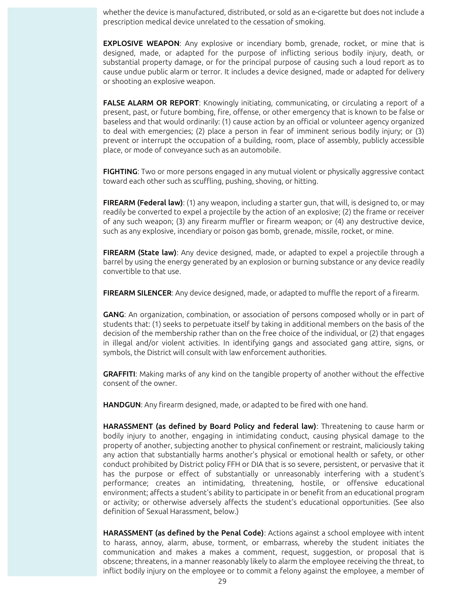whether the device is manufactured, distributed, or sold as an e-cigarette but does not include a prescription medical device unrelated to the cessation of smoking.

**EXPLOSIVE WEAPON:** Any explosive or incendiary bomb, grenade, rocket, or mine that is designed, made, or adapted for the purpose of inflicting serious bodily injury, death, or substantial property damage, or for the principal purpose of causing such a loud report as to cause undue public alarm or terror. It includes a device designed, made or adapted for delivery or shooting an explosive weapon.

**FALSE ALARM OR REPORT:** Knowingly initiating, communicating, or circulating a report of a present, past, or future bombing, fire, offense, or other emergency that is known to be false or baseless and that would ordinarily: (1) cause action by an official or volunteer agency organized to deal with emergencies; (2) place a person in fear of imminent serious bodily injury; or (3) prevent or interrupt the occupation of a building, room, place of assembly, publicly accessible place, or mode of conveyance such as an automobile.

**FIGHTING:** Two or more persons engaged in any mutual violent or physically aggressive contact toward each other such as scuffling, pushing, shoving, or hitting.

FIREARM (Federal law): (1) any weapon, including a starter gun, that will, is designed to, or may readily be converted to expel a projectile by the action of an explosive; (2) the frame or receiver of any such weapon; (3) any firearm muffler or firearm weapon; or (4) any destructive device, such as any explosive, incendiary or poison gas bomb, grenade, missile, rocket, or mine.

**FIREARM (State law)**: Any device designed, made, or adapted to expel a projectile through a barrel by using the energy generated by an explosion or burning substance or any device readily convertible to that use.

FIREARM SILENCER: Any device designed, made, or adapted to muffle the report of a firearm.

GANG: An organization, combination, or association of persons composed wholly or in part of students that: (1) seeks to perpetuate itself by taking in additional members on the basis of the decision of the membership rather than on the free choice of the individual, or (2) that engages in illegal and/or violent activities. In identifying gangs and associated gang attire, signs, or symbols, the District will consult with law enforcement authorities.

GRAFFITI: Making marks of any kind on the tangible property of another without the effective consent of the owner.

HANDGUN: Any firearm designed, made, or adapted to be fired with one hand.

HARASSMENT (as defined by Board Policy and federal law): Threatening to cause harm or bodily injury to another, engaging in intimidating conduct, causing physical damage to the property of another, subjecting another to physical confinement or restraint, maliciously taking any action that substantially harms another's physical or emotional health or safety, or other conduct prohibited by District policy FFH or DIA that is so severe, persistent, or pervasive that it has the purpose or effect of substantially or unreasonably interfering with a student's performance; creates an intimidating, threatening, hostile, or offensive educational environment; affects a student's ability to participate in or benefit from an educational program or activity; or otherwise adversely affects the student's educational opportunities. (See also definition of Sexual Harassment, below.)

HARASSMENT (as defined by the Penal Code): Actions against a school employee with intent to harass, annoy, alarm, abuse, torment, or embarrass, whereby the student initiates the communication and makes a makes a comment, request, suggestion, or proposal that is obscene; threatens, in a manner reasonably likely to alarm the employee receiving the threat, to inflict bodily injury on the employee or to commit a felony against the employee, a member of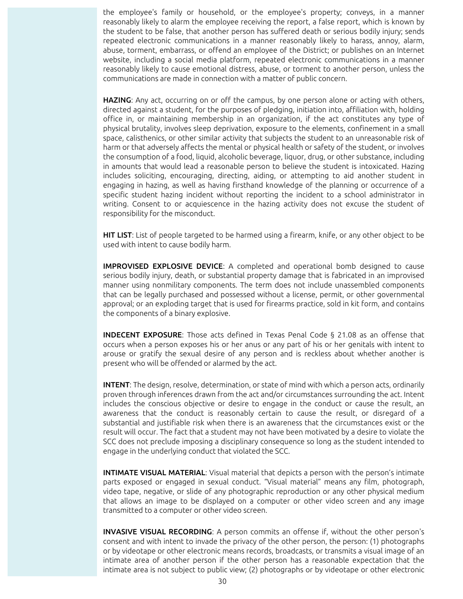the employee's family or household, or the employee's property; conveys, in a manner reasonably likely to alarm the employee receiving the report, a false report, which is known by the student to be false, that another person has suffered death or serious bodily injury; sends repeated electronic communications in a manner reasonably likely to harass, annoy, alarm, abuse, torment, embarrass, or offend an employee of the District; or publishes on an Internet website, including a social media platform, repeated electronic communications in a manner reasonably likely to cause emotional distress, abuse, or torment to another person, unless the communications are made in connection with a matter of public concern.

HAZING: Any act, occurring on or off the campus, by one person alone or acting with others, directed against a student, for the purposes of pledging, initiation into, affiliation with, holding office in, or maintaining membership in an organization, if the act constitutes any type of physical brutality, involves sleep deprivation, exposure to the elements, confinement in a small space, calisthenics, or other similar activity that subjects the student to an unreasonable risk of harm or that adversely affects the mental or physical health or safety of the student, or involves the consumption of a food, liquid, alcoholic beverage, liquor, drug, or other substance, including in amounts that would lead a reasonable person to believe the student is intoxicated. Hazing includes soliciting, encouraging, directing, aiding, or attempting to aid another student in engaging in hazing, as well as having firsthand knowledge of the planning or occurrence of a specific student hazing incident without reporting the incident to a school administrator in writing. Consent to or acquiescence in the hazing activity does not excuse the student of responsibility for the misconduct.

HIT LIST: List of people targeted to be harmed using a firearm, knife, or any other object to be used with intent to cause bodily harm.

IMPROVISED EXPLOSIVE DEVICE: A completed and operational bomb designed to cause serious bodily injury, death, or substantial property damage that is fabricated in an improvised manner using nonmilitary components. The term does not include unassembled components that can be legally purchased and possessed without a license, permit, or other governmental approval; or an exploding target that is used for firearms practice, sold in kit form, and contains the components of a binary explosive.

INDECENT EXPOSURE: Those acts defined in Texas Penal Code § 21.08 as an offense that occurs when a person exposes his or her anus or any part of his or her genitals with intent to arouse or gratify the sexual desire of any person and is reckless about whether another is present who will be offended or alarmed by the act.

INTENT: The design, resolve, determination, or state of mind with which a person acts, ordinarily proven through inferences drawn from the act and/or circumstances surrounding the act. Intent includes the conscious objective or desire to engage in the conduct or cause the result, an awareness that the conduct is reasonably certain to cause the result, or disregard of a substantial and justifiable risk when there is an awareness that the circumstances exist or the result will occur. The fact that a student may not have been motivated by a desire to violate the SCC does not preclude imposing a disciplinary consequence so long as the student intended to engage in the underlying conduct that violated the SCC.

**INTIMATE VISUAL MATERIAL:** Visual material that depicts a person with the person's intimate parts exposed or engaged in sexual conduct. "Visual material" means any film, photograph, video tape, negative, or slide of any photographic reproduction or any other physical medium that allows an image to be displayed on a computer or other video screen and any image transmitted to a computer or other video screen.

INVASIVE VISUAL RECORDING: A person commits an offense if, without the other person's consent and with intent to invade the privacy of the other person, the person: (1) photographs or by videotape or other electronic means records, broadcasts, or transmits a visual image of an intimate area of another person if the other person has a reasonable expectation that the intimate area is not subject to public view; (2) photographs or by videotape or other electronic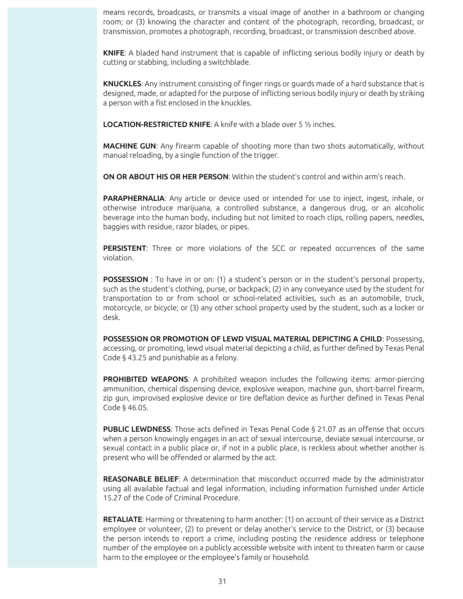means records, broadcasts, or transmits a visual image of another in a bathroom or changing room; or (3) knowing the character and content of the photograph, recording, broadcast, or transmission, promotes a photograph, recording, broadcast, or transmission described above.

KNIFE: A bladed hand instrument that is capable of inflicting serious bodily injury or death by cutting or stabbing, including a switchblade.

KNUCKLES: Any instrument consisting of finger rings or guards made of a hard substance that is designed, made, or adapted for the purpose of inflicting serious bodily injury or death by striking a person with a fist enclosed in the knuckles.

LOCATION-RESTRICTED KNIFE: A knife with a blade over 5 ½ inches.

MACHINE GUN: Any firearm capable of shooting more than two shots automatically, without manual reloading, by a single function of the trigger.

ON OR ABOUT HIS OR HER PERSON: Within the student's control and within arm's reach.

PARAPHERNALIA: Any article or device used or intended for use to inject, ingest, inhale, or otherwise introduce marijuana, a controlled substance, a dangerous drug, or an alcoholic beverage into the human body, including but not limited to roach clips, rolling papers, needles, baggies with residue, razor blades, or pipes.

PERSISTENT: Three or more violations of the SCC or repeated occurrences of the same violation.

**POSSESSION**: To have in or on: (1) a student's person or in the student's personal property, such as the student's clothing, purse, or backpack; (2) in any conveyance used by the student for transportation to or from school or school-related activities, such as an automobile, truck, motorcycle, or bicycle; or (3) any other school property used by the student, such as a locker or desk.

POSSESSION OR PROMOTION OF LEWD VISUAL MATERIAL DEPICTING A CHILD: Possessing, accessing, or promoting, lewd visual material depicting a child, as further defined by Texas Penal Code § 43.25 and punishable as a felony.

PROHIBITED WEAPONS: A prohibited weapon includes the following items: armor-piercing ammunition, chemical dispensing device, explosive weapon, machine gun, short-barrel firearm, zip gun, improvised explosive device or tire deflation device as further defined in Texas Penal Code § 46.05.

PUBLIC LEWDNESS: Those acts defined in Texas Penal Code § 21.07 as an offense that occurs when a person knowingly engages in an act of sexual intercourse, deviate sexual intercourse, or sexual contact in a public place or, if not in a public place, is reckless about whether another is present who will be offended or alarmed by the act.

REASONABLE BELIEF: A determination that misconduct occurred made by the administrator using all available factual and legal information, including information furnished under Article 15.27 of the Code of Criminal Procedure.

RETALIATE: Harming or threatening to harm another: (1) on account of their service as a District employee or volunteer, (2) to prevent or delay another's service to the District, or (3) because the person intends to report a crime, including posting the residence address or telephone number of the employee on a publicly accessible website with intent to threaten harm or cause harm to the employee or the employee's family or household.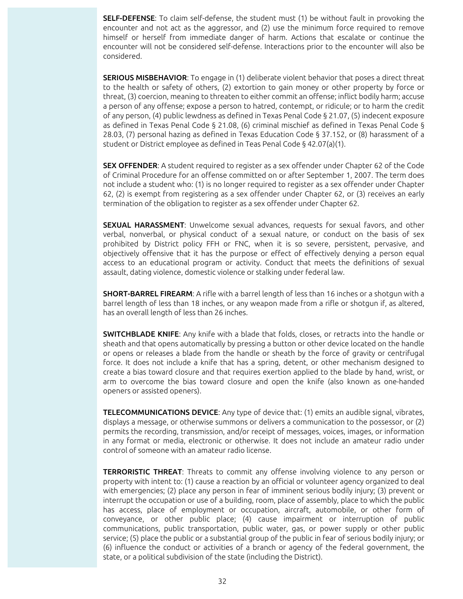SELF-DEFENSE: To claim self-defense, the student must (1) be without fault in provoking the encounter and not act as the aggressor, and (2) use the minimum force required to remove himself or herself from immediate danger of harm. Actions that escalate or continue the encounter will not be considered self-defense. Interactions prior to the encounter will also be considered.

SERIOUS MISBEHAVIOR: To engage in (1) deliberate violent behavior that poses a direct threat to the health or safety of others, (2) extortion to gain money or other property by force or threat, (3) coercion, meaning to threaten to either commit an offense; inflict bodily harm; accuse a person of any offense; expose a person to hatred, contempt, or ridicule; or to harm the credit of any person, (4) public lewdness as defined in Texas Penal Code § 21.07, (5) indecent exposure as defined in Texas Penal Code § 21.08, (6) criminal mischief as defined in Texas Penal Code § 28.03, (7) personal hazing as defined in Texas Education Code § 37.152, or (8) harassment of a student or District employee as defined in Teas Penal Code § 42.07(a)(1).

SEX OFFENDER: A student required to register as a sex offender under Chapter 62 of the Code of Criminal Procedure for an offense committed on or after September 1, 2007. The term does not include a student who: (1) is no longer required to register as a sex offender under Chapter 62, (2) is exempt from registering as a sex offender under Chapter 62, or (3) receives an early termination of the obligation to register as a sex offender under Chapter 62.

SEXUAL HARASSMENT: Unwelcome sexual advances, requests for sexual favors, and other verbal, nonverbal, or physical conduct of a sexual nature, or conduct on the basis of sex prohibited by District policy FFH or FNC, when it is so severe, persistent, pervasive, and objectively offensive that it has the purpose or effect of effectively denying a person equal access to an educational program or activity. Conduct that meets the definitions of sexual assault, dating violence, domestic violence or stalking under federal law.

SHORT-BARREL FIREARM: A rifle with a barrel length of less than 16 inches or a shotgun with a barrel length of less than 18 inches, or any weapon made from a rifle or shotgun if, as altered, has an overall length of less than 26 inches.

SWITCHBLADE KNIFE: Any knife with a blade that folds, closes, or retracts into the handle or sheath and that opens automatically by pressing a button or other device located on the handle or opens or releases a blade from the handle or sheath by the force of gravity or centrifugal force. It does not include a knife that has a spring, detent, or other mechanism designed to create a bias toward closure and that requires exertion applied to the blade by hand, wrist, or arm to overcome the bias toward closure and open the knife (also known as one-handed openers or assisted openers).

TELECOMMUNICATIONS DEVICE: Any type of device that: (1) emits an audible signal, vibrates, displays a message, or otherwise summons or delivers a communication to the possessor, or (2) permits the recording, transmission, and/or receipt of messages, voices, images, or information in any format or media, electronic or otherwise. It does not include an amateur radio under control of someone with an amateur radio license.

**TERRORISTIC THREAT:** Threats to commit any offense involving violence to any person or property with intent to: (1) cause a reaction by an official or volunteer agency organized to deal with emergencies; (2) place any person in fear of imminent serious bodily injury; (3) prevent or interrupt the occupation or use of a building, room, place of assembly, place to which the public has access, place of employment or occupation, aircraft, automobile, or other form of conveyance, or other public place; (4) cause impairment or interruption of public communications, public transportation, public water, gas, or power supply or other public service; (5) place the public or a substantial group of the public in fear of serious bodily injury; or (6) influence the conduct or activities of a branch or agency of the federal government, the state, or a political subdivision of the state (including the District).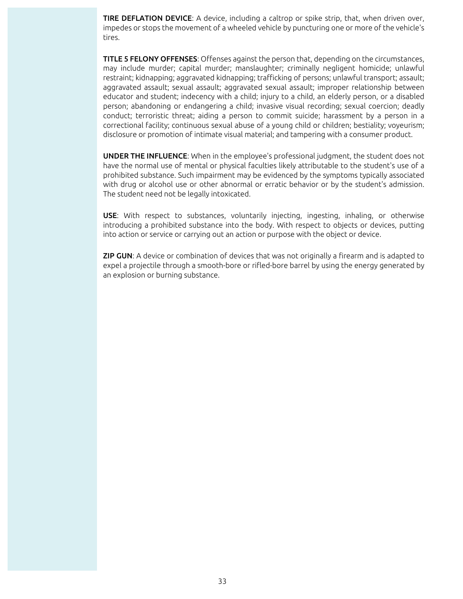**TIRE DEFLATION DEVICE:** A device, including a caltrop or spike strip, that, when driven over, impedes or stops the movement of a wheeled vehicle by puncturing one or more of the vehicle's tires.

**TITLE 5 FELONY OFFENSES:** Offenses against the person that, depending on the circumstances, may include murder; capital murder; manslaughter; criminally negligent homicide; unlawful restraint; kidnapping; aggravated kidnapping; trafficking of persons; unlawful transport; assault; aggravated assault; sexual assault; aggravated sexual assault; improper relationship between educator and student; indecency with a child; injury to a child, an elderly person, or a disabled person; abandoning or endangering a child; invasive visual recording; sexual coercion; deadly conduct; terroristic threat; aiding a person to commit suicide; harassment by a person in a correctional facility; continuous sexual abuse of a young child or children; bestiality; voyeurism; disclosure or promotion of intimate visual material; and tampering with a consumer product.

UNDER THE INFLUENCE: When in the employee's professional judgment, the student does not have the normal use of mental or physical faculties likely attributable to the student's use of a prohibited substance. Such impairment may be evidenced by the symptoms typically associated with drug or alcohol use or other abnormal or erratic behavior or by the student's admission. The student need not be legally intoxicated.

USE: With respect to substances, voluntarily injecting, ingesting, inhaling, or otherwise introducing a prohibited substance into the body. With respect to objects or devices, putting into action or service or carrying out an action or purpose with the object or device.

**ZIP GUN:** A device or combination of devices that was not originally a firearm and is adapted to expel a projectile through a smooth-bore or rifled-bore barrel by using the energy generated by an explosion or burning substance.